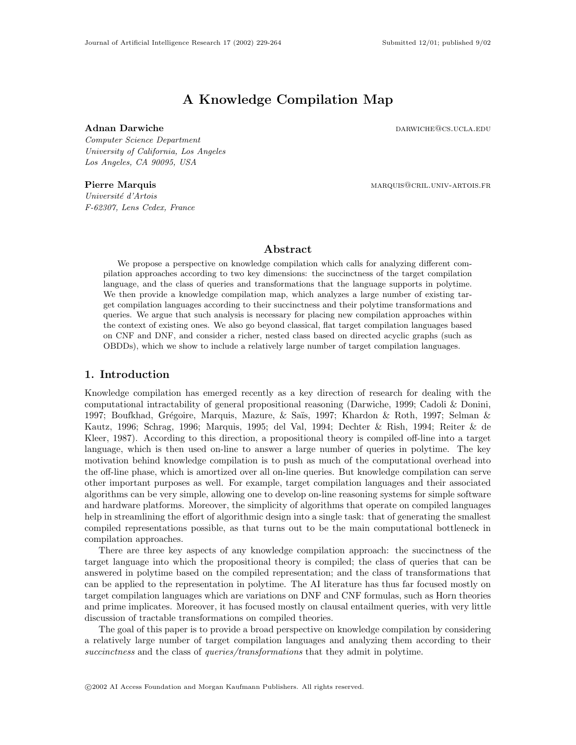## A Knowledge Compilation Map

**Adnan Darwiche** darwiche darwiche darwiche darwiche darwiche darwiche darwiche darwiche darwiche darwiche darwiche

Computer Science Department University of California, Los Angeles Los Angeles, CA 90095, USA

## Pierre Marquis **Marquis** marquis marquis marquis marquis marquis marquis marquis marquis marquis marquis marquis Université d'Artois

# F-62307, Lens Cedex, France

## Abstract

We propose a perspective on knowledge compilation which calls for analyzing different compilation approaches according to two key dimensions: the succinctness of the target compilation language, and the class of queries and transformations that the language supports in polytime. We then provide a knowledge compilation map, which analyzes a large number of existing target compilation languages according to their succinctness and their polytime transformations and queries. We argue that such analysis is necessary for placing new compilation approaches within the context of existing ones. We also go beyond classical, flat target compilation languages based on CNF and DNF, and consider a richer, nested class based on directed acyclic graphs (such as OBDDs), which we show to include a relatively large number of target compilation languages.

## 1. Introduction

Knowledge compilation has emerged recently as a key direction of research for dealing with the computational intractability of general propositional reasoning (Darwiche, 1999; Cadoli & Donini, 1997; Boufkhad, Grégoire, Marquis, Mazure, & Saïs, 1997; Khardon & Roth, 1997; Selman & Kautz, 1996; Schrag, 1996; Marquis, 1995; del Val, 1994; Dechter & Rish, 1994; Reiter & de Kleer, 1987). According to this direction, a propositional theory is compiled off-line into a target language, which is then used on-line to answer a large number of queries in polytime. The key motivation behind knowledge compilation is to push as much of the computational overhead into the off-line phase, which is amortized over all on-line queries. But knowledge compilation can serve other important purposes as well. For example, target compilation languages and their associated algorithms can be very simple, allowing one to develop on-line reasoning systems for simple software and hardware platforms. Moreover, the simplicity of algorithms that operate on compiled languages help in streamlining the effort of algorithmic design into a single task: that of generating the smallest compiled representations possible, as that turns out to be the main computational bottleneck in compilation approaches.

There are three key aspects of any knowledge compilation approach: the succinctness of the target language into which the propositional theory is compiled; the class of queries that can be answered in polytime based on the compiled representation; and the class of transformations that can be applied to the representation in polytime. The AI literature has thus far focused mostly on target compilation languages which are variations on DNF and CNF formulas, such as Horn theories and prime implicates. Moreover, it has focused mostly on clausal entailment queries, with very little discussion of tractable transformations on compiled theories.

The goal of this paper is to provide a broad perspective on knowledge compilation by considering a relatively large number of target compilation languages and analyzing them according to their succinctness and the class of *queries/transformations* that they admit in polytime.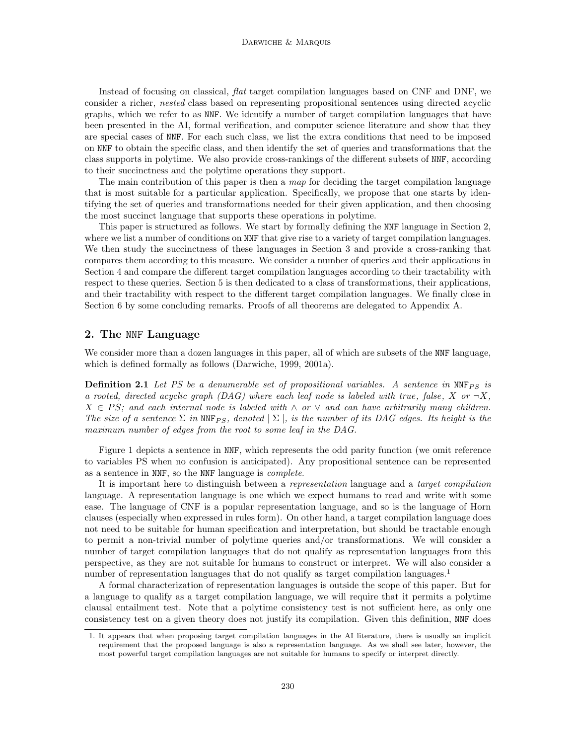Instead of focusing on classical, flat target compilation languages based on CNF and DNF, we consider a richer, nested class based on representing propositional sentences using directed acyclic graphs, which we refer to as NNF. We identify a number of target compilation languages that have been presented in the AI, formal verification, and computer science literature and show that they are special cases of NNF. For each such class, we list the extra conditions that need to be imposed on NNF to obtain the specific class, and then identify the set of queries and transformations that the class supports in polytime. We also provide cross-rankings of the different subsets of NNF, according to their succinctness and the polytime operations they support.

The main contribution of this paper is then a map for deciding the target compilation language that is most suitable for a particular application. Specifically, we propose that one starts by identifying the set of queries and transformations needed for their given application, and then choosing the most succinct language that supports these operations in polytime.

This paper is structured as follows. We start by formally defining the NNF language in Section 2, where we list a number of conditions on NNF that give rise to a variety of target compilation languages. We then study the succinctness of these languages in Section 3 and provide a cross-ranking that compares them according to this measure. We consider a number of queries and their applications in Section 4 and compare the different target compilation languages according to their tractability with respect to these queries. Section 5 is then dedicated to a class of transformations, their applications, and their tractability with respect to the different target compilation languages. We finally close in Section 6 by some concluding remarks. Proofs of all theorems are delegated to Appendix A.

## 2. The NNF Language

We consider more than a dozen languages in this paper, all of which are subsets of the NNF language, which is defined formally as follows (Darwiche, 1999, 2001a).

**Definition 2.1** Let PS be a denumerable set of propositional variables. A sentence in NNF<sub>PS</sub> is a rooted, directed acyclic graph (DAG) where each leaf node is labeled with true, false, X or  $\neg X$ ,  $X \in PS$ ; and each internal node is labeled with  $\wedge$  or  $\vee$  and can have arbitrarily many children. The size of a sentence  $\Sigma$  in NNF<sub>PS</sub>, denoted  $\Sigma$ , is the number of its DAG edges. Its height is the maximum number of edges from the root to some leaf in the DAG.

Figure 1 depicts a sentence in NNF, which represents the odd parity function (we omit reference to variables PS when no confusion is anticipated). Any propositional sentence can be represented as a sentence in NNF, so the NNF language is complete.

It is important here to distinguish between a representation language and a target compilation language. A representation language is one which we expect humans to read and write with some ease. The language of CNF is a popular representation language, and so is the language of Horn clauses (especially when expressed in rules form). On other hand, a target compilation language does not need to be suitable for human specification and interpretation, but should be tractable enough to permit a non-trivial number of polytime queries and/or transformations. We will consider a number of target compilation languages that do not qualify as representation languages from this perspective, as they are not suitable for humans to construct or interpret. We will also consider a number of representation languages that do not qualify as target compilation languages.<sup>1</sup>

A formal characterization of representation languages is outside the scope of this paper. But for a language to qualify as a target compilation language, we will require that it permits a polytime clausal entailment test. Note that a polytime consistency test is not sufficient here, as only one consistency test on a given theory does not justify its compilation. Given this definition, NNF does

<sup>1.</sup> It appears that when proposing target compilation languages in the AI literature, there is usually an implicit requirement that the proposed language is also a representation language. As we shall see later, however, the most powerful target compilation languages are not suitable for humans to specify or interpret directly.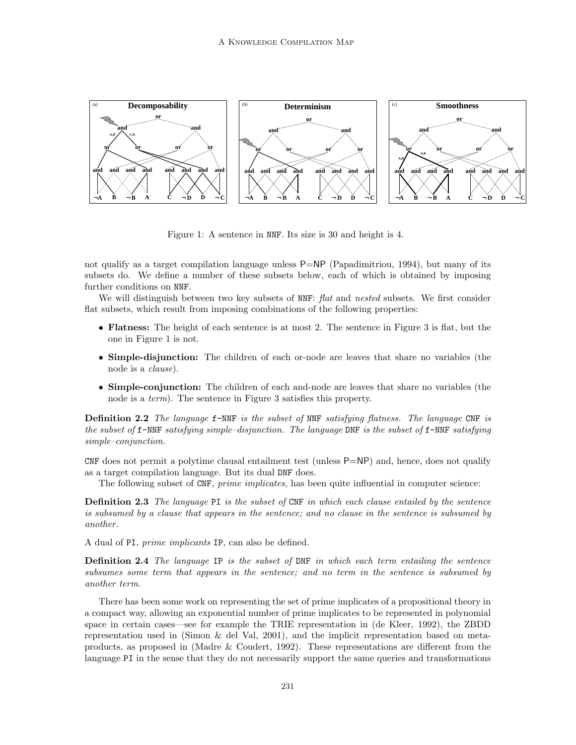

Figure 1: A sentence in NNF. Its size is 30 and height is 4.

not qualify as a target compilation language unless  $P=NP$  (Papadimitriou, 1994), but many of its subsets do. We define a number of these subsets below, each of which is obtained by imposing further conditions on NNF.

We will distinguish between two key subsets of NNF: flat and nested subsets. We first consider flat subsets, which result from imposing combinations of the following properties:

- Flatness: The height of each sentence is at most 2. The sentence in Figure 3 is flat, but the one in Figure 1 is not.
- Simple-disjunction: The children of each or-node are leaves that share no variables (the node is a clause).
- Simple-conjunction: The children of each and-node are leaves that share no variables (the node is a term). The sentence in Figure 3 satisfies this property.

**Definition 2.2** The language f-NNF is the subset of NNF satisfying flatness. The language CNF is the subset of f-NNF satisfying simple–disjunction. The language DNF is the subset of f-NNF satisfying simple–conjunction.

CNF does not permit a polytime clausal entailment test (unless  $P=NP$ ) and, hence, does not qualify as a target compilation language. But its dual DNF does.

The following subset of CNF, *prime implicates*, has been quite influential in computer science:

**Definition 2.3** The language PI is the subset of  $CNF$  in which each clause entailed by the sentence is subsumed by a clause that appears in the sentence; and no clause in the sentence is subsumed by another.

A dual of PI, prime implicants IP, can also be defined.

**Definition 2.4** The language IP is the subset of DNF in which each term entailing the sentence subsumes some term that appears in the sentence; and no term in the sentence is subsumed by another term.

There has been some work on representing the set of prime implicates of a propositional theory in a compact way, allowing an exponential number of prime implicates to be represented in polynomial space in certain cases—see for example the TRIE representation in (de Kleer, 1992), the ZBDD representation used in (Simon & del Val, 2001), and the implicit representation based on metaproducts, as proposed in (Madre & Coudert, 1992). These representations are different from the language PI in the sense that they do not necessarily support the same queries and transformations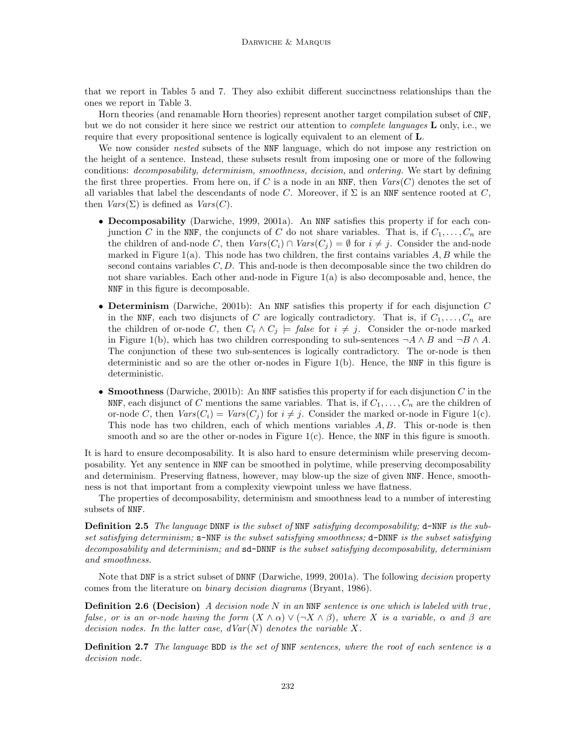that we report in Tables 5 and 7. They also exhibit different succinctness relationships than the ones we report in Table 3.

Horn theories (and renamable Horn theories) represent another target compilation subset of CNF, but we do not consider it here since we restrict our attention to *complete languages* **L** only, i.e., we require that every propositional sentence is logically equivalent to an element of L.

We now consider *nested* subsets of the NNF language, which do not impose any restriction on the height of a sentence. Instead, these subsets result from imposing one or more of the following conditions: decomposability, determinism, smoothness, decision, and ordering. We start by defining the first three properties. From here on, if C is a node in an NNF, then  $Vars(C)$  denotes the set of all variables that label the descendants of node C. Moreover, if  $\Sigma$  is an NNF sentence rooted at C, then  $Vars(\Sigma)$  is defined as  $Vars(C)$ .

- Decomposability (Darwiche, 1999, 2001a). An NNF satisfies this property if for each conjunction C in the NNF, the conjuncts of C do not share variables. That is, if  $C_1, \ldots, C_n$  are the children of and-node C, then  $Vars(C_i) \cap Vars(C_j) = \emptyset$  for  $i \neq j$ . Consider the and-node marked in Figure 1(a). This node has two children, the first contains variables  $A, B$  while the second contains variables  $C, D$ . This and-node is then decomposable since the two children do not share variables. Each other and-node in Figure  $1(a)$  is also decomposable and, hence, the NNF in this figure is decomposable.
- Determinism (Darwiche, 2001b): An NNF satisfies this property if for each disjunction  $C$ in the NNF, each two disjuncts of C are logically contradictory. That is, if  $C_1, \ldots, C_n$  are the children of or-node C, then  $C_i \wedge C_j = false$  for  $i \neq j$ . Consider the or-node marked in Figure 1(b), which has two children corresponding to sub-sentences  $\neg A \wedge B$  and  $\neg B \wedge A$ . The conjunction of these two sub-sentences is logically contradictory. The or-node is then deterministic and so are the other or-nodes in Figure 1(b). Hence, the NNF in this figure is deterministic.
- Smoothness (Darwiche, 2001b): An NNF satisfies this property if for each disjunction  $C$  in the NNF, each disjunct of C mentions the same variables. That is, if  $C_1, \ldots, C_n$  are the children of or-node C, then  $Vars(C_i) = Vars(C_j)$  for  $i \neq j$ . Consider the marked or-node in Figure 1(c). This node has two children, each of which mentions variables A, B. This or-node is then smooth and so are the other or-nodes in Figure 1(c). Hence, the NNF in this figure is smooth.

It is hard to ensure decomposability. It is also hard to ensure determinism while preserving decomposability. Yet any sentence in NNF can be smoothed in polytime, while preserving decomposability and determinism. Preserving flatness, however, may blow-up the size of given NNF. Hence, smoothness is not that important from a complexity viewpoint unless we have flatness.

The properties of decomposability, determinism and smoothness lead to a number of interesting subsets of NNF.

**Definition 2.5** The language DNNF is the subset of NNF satisfying decomposability;  $d$ -NNF is the subset satisfying determinism; s-NNF is the subset satisfying smoothness; d-DNNF is the subset satisfying decomposability and determinism; and sd-DNNF is the subset satisfying decomposability, determinism and smoothness.

Note that DNF is a strict subset of DNNF (Darwiche, 1999, 2001a). The following decision property comes from the literature on binary decision diagrams (Bryant, 1986).

**Definition 2.6 (Decision)** A decision node N in an NNF sentence is one which is labeled with true, false, or is an or-node having the form  $(X \wedge \alpha) \vee (\neg X \wedge \beta)$ , where X is a variable,  $\alpha$  and  $\beta$  are decision nodes. In the latter case,  $dVar(N)$  denotes the variable X.

**Definition 2.7** The language BDD is the set of NNF sentences, where the root of each sentence is a decision node.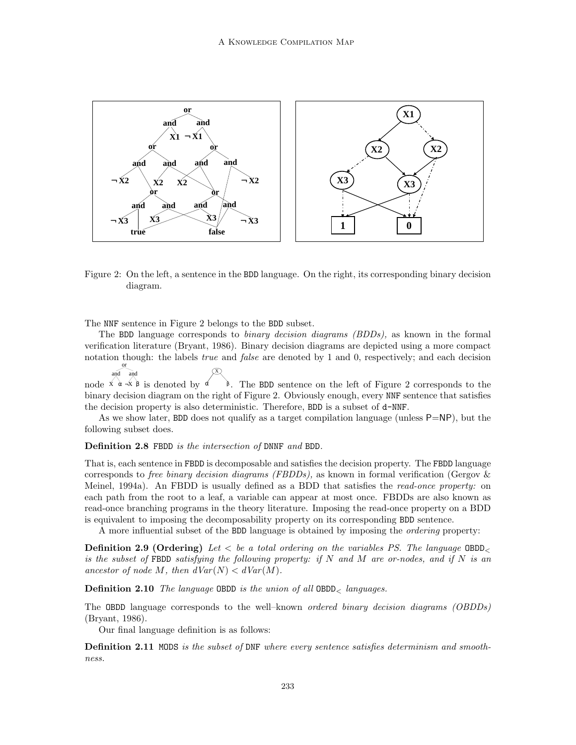

Figure 2: On the left, a sentence in the BDD language. On the right, its corresponding binary decision diagram.

The NNF sentence in Figure 2 belongs to the BDD subset.

The BDD language corresponds to binary decision diagrams (BDDs), as known in the formal verification literature (Bryant, 1986). Binary decision diagrams are depicted using a more compact notation though: the labels *true* and *false* are denoted by 1 and 0, respectively; and each decision and and and or and  $\mathbf{X}$ )

node  $\angle x \rightarrow \angle x$  β is denoted by  $\alpha$  $α$  β. The BDD sentence on the left of Figure 2 corresponds to the binary decision diagram on the right of Figure 2. Obviously enough, every NNF sentence that satisfies the decision property is also deterministic. Therefore, BDD is a subset of d-NNF.

As we show later, BDD does not qualify as a target compilation language (unless P=NP), but the following subset does.

Definition 2.8 FBDD is the intersection of DNNF and BDD.

That is, each sentence in FBDD is decomposable and satisfies the decision property. The FBDD language corresponds to *free binary decision diagrams (FBDDs)*, as known in formal verification (Gergov  $\&$ Meinel, 1994a). An FBDD is usually defined as a BDD that satisfies the read-once property: on each path from the root to a leaf, a variable can appear at most once. FBDDs are also known as read-once branching programs in the theory literature. Imposing the read-once property on a BDD is equivalent to imposing the decomposability property on its corresponding BDD sentence.

A more influential subset of the BDD language is obtained by imposing the ordering property:

**Definition 2.9 (Ordering)** Let  $\lt$  be a total ordering on the variables PS. The language OBDD $\lt$ is the subset of FBDD satisfying the following property: if N and M are or-nodes, and if N is an ancestor of node M, then  $dVar(N) < dVar(M)$ .

**Definition 2.10** The language OBDD is the union of all  $\text{OBDD}_\leq$  languages.

The OBDD language corresponds to the well–known ordered binary decision diagrams (OBDDs) (Bryant, 1986).

Our final language definition is as follows:

Definition 2.11 MODS is the subset of DNF where every sentence satisfies determinism and smoothness.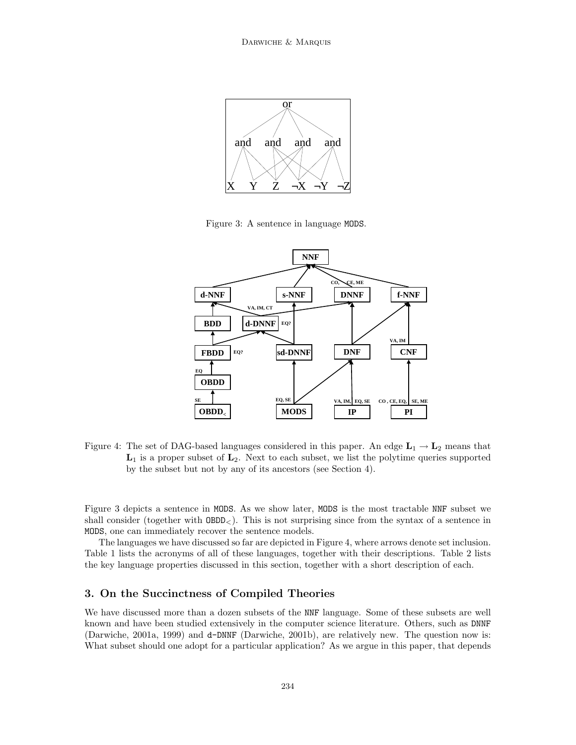

Figure 3: A sentence in language MODS.



Figure 4: The set of DAG-based languages considered in this paper. An edge  $L_1 \rightarrow L_2$  means that  $L_1$  is a proper subset of  $L_2$ . Next to each subset, we list the polytime queries supported by the subset but not by any of its ancestors (see Section 4).

Figure 3 depicts a sentence in MODS. As we show later, MODS is the most tractable NNF subset we shall consider (together with  $OBDD<sub>z</sub>$ ). This is not surprising since from the syntax of a sentence in MODS, one can immediately recover the sentence models.

The languages we have discussed so far are depicted in Figure 4, where arrows denote set inclusion. Table 1 lists the acronyms of all of these languages, together with their descriptions. Table 2 lists the key language properties discussed in this section, together with a short description of each.

## 3. On the Succinctness of Compiled Theories

We have discussed more than a dozen subsets of the NNF language. Some of these subsets are well known and have been studied extensively in the computer science literature. Others, such as DNNF (Darwiche, 2001a, 1999) and d-DNNF (Darwiche, 2001b), are relatively new. The question now is: What subset should one adopt for a particular application? As we argue in this paper, that depends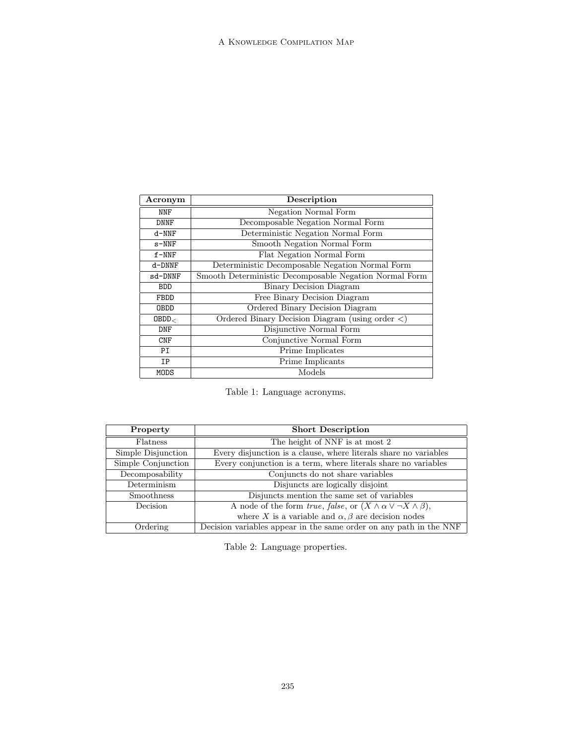| Acronym     | Description                                              |
|-------------|----------------------------------------------------------|
| <b>NNF</b>  | Negation Normal Form                                     |
| <b>DNNF</b> | Decomposable Negation Normal Form                        |
| $d-NNF$     | Deterministic Negation Normal Form                       |
| $s-NNF$     | Smooth Negation Normal Form                              |
| $f-NNF$     | Flat Negation Normal Form                                |
| d-DNNF      | Deterministic Decomposable Negation Normal Form          |
| sd-DNNF     | Smooth Deterministic Decomposable Negation Normal Form   |
| <b>BDD</b>  | <b>Binary Decision Diagram</b>                           |
| FBDD        | Free Binary Decision Diagram                             |
| <b>OBDD</b> | Ordered Binary Decision Diagram                          |
| $0$ BDD $<$ | Ordered Binary Decision Diagram (using order $\langle$ ) |
| DNF         | Disjunctive Normal Form                                  |
| CNF         | Conjunctive Normal Form                                  |
| PI          | Prime Implicates                                         |
| IP          | Prime Implicants                                         |
| MODS        | Models                                                   |

Table 1: Language acronyms.

| Property           | <b>Short Description</b>                                                                          |
|--------------------|---------------------------------------------------------------------------------------------------|
| Flatness           | The height of NNF is at most 2                                                                    |
| Simple Disjunction | Every disjunction is a clause, where literals share no variables                                  |
| Simple Conjunction | Every conjunction is a term, where literals share no variables                                    |
| Decomposability    | Conjuncts do not share variables                                                                  |
| Determinism        | Disjuncts are logically disjoint                                                                  |
| Smoothness         | Disjuncts mention the same set of variables                                                       |
| Decision           | A node of the form <i>true</i> , <i>false</i> , or $(X \wedge \alpha \vee \neg X \wedge \beta)$ , |
|                    | where X is a variable and $\alpha, \beta$ are decision nodes                                      |
| Ordering           | Decision variables appear in the same order on any path in the NNF                                |

Table 2: Language properties.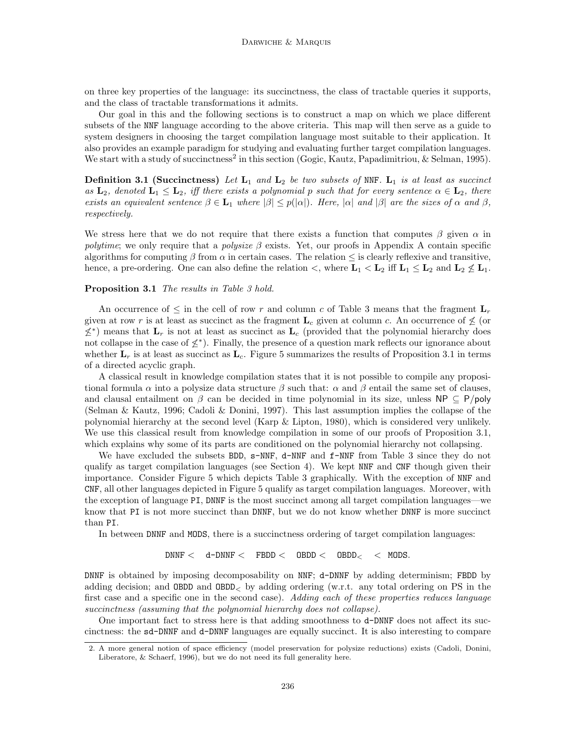on three key properties of the language: its succinctness, the class of tractable queries it supports, and the class of tractable transformations it admits.

Our goal in this and the following sections is to construct a map on which we place different subsets of the NNF language according to the above criteria. This map will then serve as a guide to system designers in choosing the target compilation language most suitable to their application. It also provides an example paradigm for studying and evaluating further target compilation languages. We start with a study of succinctness<sup>2</sup> in this section (Gogic, Kautz, Papadimitriou, & Selman, 1995).

**Definition 3.1 (Succinctness)** Let  $L_1$  and  $L_2$  be two subsets of NNF.  $L_1$  is at least as succinct as  $\mathbf{L}_2$ , denoted  $\mathbf{L}_1 \leq \mathbf{L}_2$ , iff there exists a polynomial p such that for every sentence  $\alpha \in \mathbf{L}_2$ , there exists an equivalent sentence  $\beta \in \mathbf{L}_1$  where  $|\beta| \leq p(|\alpha|)$ . Here,  $|\alpha|$  and  $|\beta|$  are the sizes of  $\alpha$  and  $\beta$ , respectively.

We stress here that we do not require that there exists a function that computes  $\beta$  given  $\alpha$  in polytime; we only require that a polysize  $\beta$  exists. Yet, our proofs in Appendix A contain specific algorithms for computing  $\beta$  from  $\alpha$  in certain cases. The relation  $\leq$  is clearly reflexive and transitive, hence, a pre-ordering. One can also define the relation  $\lt$ , where  $\mathbf{L}_1 \lt \mathbf{L}_2$  iff  $\mathbf{L}_1 \leq \mathbf{L}_2$  and  $\mathbf{L}_2 \nleq \mathbf{L}_1$ .

## Proposition 3.1 The results in Table 3 hold.

An occurrence of  $\leq$  in the cell of row r and column c of Table 3 means that the fragment  $\mathbf{L}_r$ given at row r is at least as succinct as the fragment  $\mathbf{L}_c$  given at column c. An occurrence of  $\nleq$  (or  $\leq^*$ ) means that  $\mathbf{L}_r$  is not at least as succinct as  $\mathbf{L}_c$  (provided that the polynomial hierarchy does not collapse in the case of  $\leq^*$ ). Finally, the presence of a question mark reflects our ignorance about whether  $\mathbf{L}_r$  is at least as succinct as  $\mathbf{L}_c$ . Figure 5 summarizes the results of Proposition 3.1 in terms of a directed acyclic graph.

A classical result in knowledge compilation states that it is not possible to compile any propositional formula  $\alpha$  into a polysize data structure  $\beta$  such that:  $\alpha$  and  $\beta$  entail the same set of clauses, and clausal entailment on  $\beta$  can be decided in time polynomial in its size, unless NP  $\subseteq P/p$ oly (Selman & Kautz, 1996; Cadoli & Donini, 1997). This last assumption implies the collapse of the polynomial hierarchy at the second level (Karp & Lipton, 1980), which is considered very unlikely. We use this classical result from knowledge compilation in some of our proofs of Proposition 3.1, which explains why some of its parts are conditioned on the polynomial hierarchy not collapsing.

We have excluded the subsets BDD,  $s-NNF$ , d-NNF and  $f-NNF$  from Table 3 since they do not qualify as target compilation languages (see Section 4). We kept NNF and CNF though given their importance. Consider Figure 5 which depicts Table 3 graphically. With the exception of NNF and CNF, all other languages depicted in Figure 5 qualify as target compilation languages. Moreover, with the exception of language PI, DNNF is the most succinct among all target compilation languages—we know that PI is not more succinct than DNNF, but we do not know whether DNNF is more succinct than PI.

In between DNNF and MODS, there is a succinctness ordering of target compilation languages:

$$
\mathtt{DNNF} < \hspace{0.1cm} \mathtt{d-DNNF} < \hspace{0.1cm} \mathtt{FBDD} < \hspace{0.1cm} \mathtt{OBDD} < \hspace{0.1cm} \mathtt{OBDD}_< \hspace{0.1cm} < \hspace{0.1cm} \mathtt{MODS}.
$$

DNNF is obtained by imposing decomposability on NNF; d-DNNF by adding determinism; FBDD by adding decision; and **OBDD** and  $\text{OBDD}_\leq$  by adding ordering (w.r.t. any total ordering on PS in the first case and a specific one in the second case). Adding each of these properties reduces language succinctness (assuming that the polynomial hierarchy does not collapse).

One important fact to stress here is that adding smoothness to d-DNNF does not affect its succinctness: the sd-DNNF and d-DNNF languages are equally succinct. It is also interesting to compare

<sup>2.</sup> A more general notion of space efficiency (model preservation for polysize reductions) exists (Cadoli, Donini, Liberatore, & Schaerf, 1996), but we do not need its full generality here.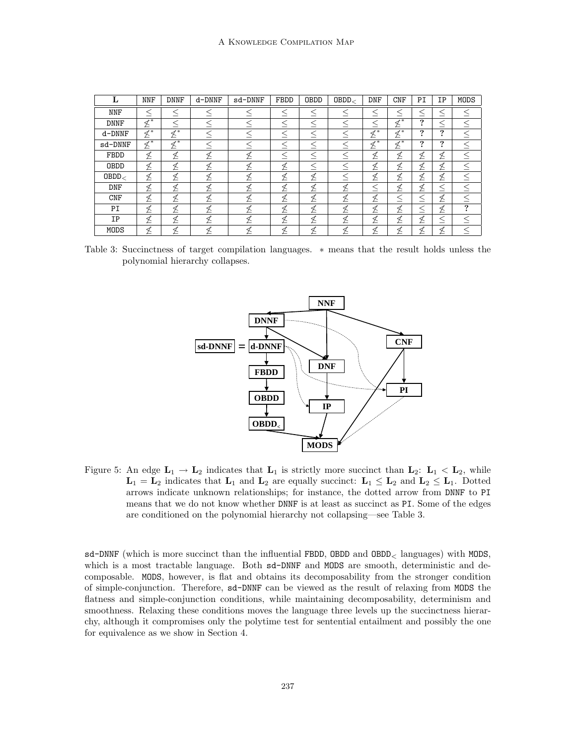| ⊥            | <b>NNF</b>                 | <b>DNNF</b>                | d-DNNF | sd-DNNF | FBDD         | <b>OBDD</b>  | $0$ BDD $<$ | <b>DNF</b>                 | <b>CNF</b> | ΡI       | ΙP                       | MODS       |
|--------------|----------------------------|----------------------------|--------|---------|--------------|--------------|-------------|----------------------------|------------|----------|--------------------------|------------|
| <b>NNF</b>   |                            |                            |        |         |              |              |             |                            |            |          |                          |            |
| <b>DNNF</b>  | $\overline{\mathcal{L}}^*$ |                            |        |         |              |              |             |                            | 1*<br>≰    | $\Omega$ |                          |            |
| $d$ -DNN $F$ | $\overline{\nleq}^*$       | $\overline{\n\leq}^*$      |        |         | -            |              |             | $\overline{\mathcal{L}}^*$ | 上冰<br>≰    | $\Omega$ | ົ                        | $\,<$<br>_ |
| sd-DNNF      | $\overline{\mathcal{L}}^*$ | $\overline{\mathcal{L}}^*$ |        |         | -            | $\,<\,$      | -           | $\overline{\not\leq^*}$    | ≁∗<br>≰    | ဂ        | $\Omega$                 | $<\,$<br>_ |
| FBDD         | ≰                          | ≰                          |        |         | $\,<\,$<br>- | $\,<\,$<br>- |             | ≰                          | 圣          |          | 圣                        |            |
| <b>OBDD</b>  | ≰                          | 圣                          |        |         | 圣            |              |             | ≰                          | 8          | 乥        | 圣                        |            |
| $0$ BDD $<$  | 乥                          | $\propto$<br>∠             |        |         | 乏            | 圣            |             | ≰                          | 圣          | ⊲<br>≻   | 圣                        |            |
| <b>DNF</b>   | 经                          | 乥                          |        |         | 圣            | 圣            | 乥           |                            | 2          | ≿        | -                        | $\,<$<br>_ |
| <b>CNF</b>   | ≰                          | ≰                          |        |         | 온            | ≰            |             | ≰                          |            |          | 圣                        |            |
| PI           | 经                          | ~<br>∸                     |        |         | 圣            | ≰            |             | ≮                          | 圣          | -        | ≰                        | ?          |
| IP           | 2                          | $\mathcal{R}$              |        |         | 圣            | 圣            | 乥           | ≰                          | 圣          | ≰        | $\overline{\phantom{a}}$ | _          |
| MODS         | ≰                          |                            |        |         |              | ⊲            |             | ≮                          |            |          | 원                        |            |

Table 3: Succinctness of target compilation languages. ∗ means that the result holds unless the polynomial hierarchy collapses.



Figure 5: An edge  $L_1 \rightarrow L_2$  indicates that  $L_1$  is strictly more succinct than  $L_2$ :  $L_1 < L_2$ , while  $L_1 = L_2$  indicates that  $L_1$  and  $L_2$  are equally succinct:  $L_1 \leq L_2$  and  $L_2 \leq L_1$ . Dotted arrows indicate unknown relationships; for instance, the dotted arrow from DNNF to PI means that we do not know whether DNNF is at least as succinct as PI. Some of the edges are conditioned on the polynomial hierarchy not collapsing—see Table 3.

 $sd-DNNF$  (which is more succinct than the influential FBDD, OBDD and OBDD<sub> $\lt$ </sub> languages) with MODS, which is a most tractable language. Both sd-DNNF and MODS are smooth, deterministic and decomposable. MODS, however, is flat and obtains its decomposability from the stronger condition of simple-conjunction. Therefore, sd-DNNF can be viewed as the result of relaxing from MODS the flatness and simple-conjunction conditions, while maintaining decomposability, determinism and smoothness. Relaxing these conditions moves the language three levels up the succinctness hierarchy, although it compromises only the polytime test for sentential entailment and possibly the one for equivalence as we show in Section 4.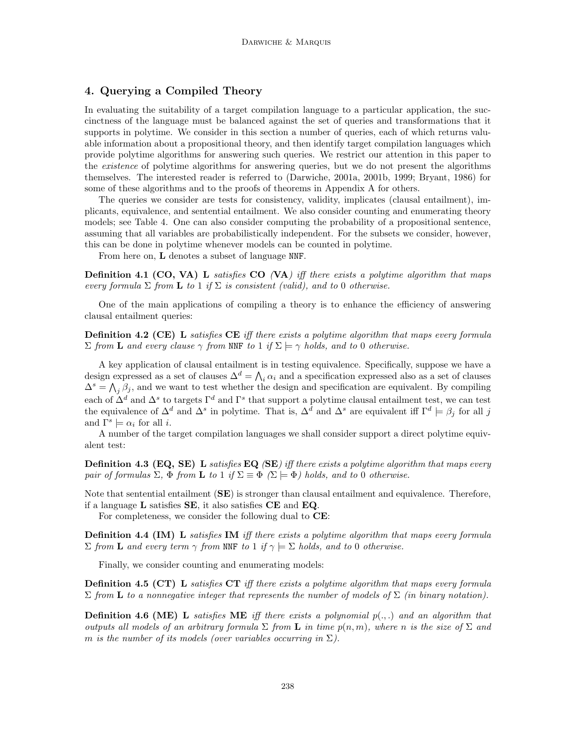## 4. Querying a Compiled Theory

In evaluating the suitability of a target compilation language to a particular application, the succinctness of the language must be balanced against the set of queries and transformations that it supports in polytime. We consider in this section a number of queries, each of which returns valuable information about a propositional theory, and then identify target compilation languages which provide polytime algorithms for answering such queries. We restrict our attention in this paper to the *existence* of polytime algorithms for answering queries, but we do not present the algorithms themselves. The interested reader is referred to (Darwiche, 2001a, 2001b, 1999; Bryant, 1986) for some of these algorithms and to the proofs of theorems in Appendix A for others.

The queries we consider are tests for consistency, validity, implicates (clausal entailment), implicants, equivalence, and sentential entailment. We also consider counting and enumerating theory models; see Table 4. One can also consider computing the probability of a propositional sentence, assuming that all variables are probabilistically independent. For the subsets we consider, however, this can be done in polytime whenever models can be counted in polytime.

From here on, L denotes a subset of language NNF.

**Definition 4.1 (CO, VA)** L satisfies CO (VA) iff there exists a polytime algorithm that maps every formula  $\Sigma$  from **L** to 1 if  $\Sigma$  is consistent (valid), and to 0 otherwise.

One of the main applications of compiling a theory is to enhance the efficiency of answering clausal entailment queries:

**Definition 4.2 (CE)** L satisfies CE iff there exists a polytime algorithm that maps every formula  $\Sigma$  from **L** and every clause  $\gamma$  from NNF to 1 if  $\Sigma \models \gamma$  holds, and to 0 otherwise.

A key application of clausal entailment is in testing equivalence. Specifically, suppose we have a V design expressed as a set of clauses  $\Delta^d = \bigwedge_i \alpha_i$  and a specification expressed also as a set of clauses  $\Delta^s = \bigwedge_j \beta_j$ , and we want to test whether the design and specification are equivalent. By compiling each of  $\Delta^d$  and  $\Delta^s$  to targets  $\Gamma^d$  and  $\Gamma^s$  that support a polytime clausal entailment test, we can test the equivalence of  $\Delta^d$  and  $\Delta^s$  in polytime. That is,  $\Delta^d$  and  $\Delta^s$  are equivalent iff  $\Gamma^d \models \beta_j$  for all j and  $\Gamma^s \models \alpha_i$  for all *i*.

A number of the target compilation languages we shall consider support a direct polytime equivalent test:

**Definition 4.3 (EQ, SE)** L satisfies EQ (SE) iff there exists a polytime algorithm that maps every pair of formulas  $\Sigma$ ,  $\Phi$  from **L** to 1 if  $\Sigma \equiv \Phi$  ( $\Sigma \models \Phi$ ) holds, and to 0 otherwise.

Note that sentential entailment  $(SE)$  is stronger than clausal entailment and equivalence. Therefore, if a language L satisfies SE, it also satisfies CE and EQ.

For completeness, we consider the following dual to CE:

**Definition 4.4 (IM) L** satisfies **IM** iff there exists a polytime algorithm that maps every formula  $\Sigma$  from **L** and every term  $\gamma$  from NNF to 1 if  $\gamma \models \Sigma$  holds, and to 0 otherwise.

Finally, we consider counting and enumerating models:

**Definition 4.5 (CT)** L satisfies CT iff there exists a polytime algorithm that maps every formula  $\Sigma$  from **L** to a nonnegative integer that represents the number of models of  $\Sigma$  (in binary notation).

**Definition 4.6 (ME)** L satisfies **ME** iff there exists a polynomial  $p(.,.)$  and an algorithm that outputs all models of an arbitrary formula  $\Sigma$  from **L** in time  $p(n,m)$ , where n is the size of  $\Sigma$  and m is the number of its models (over variables occurring in  $\Sigma$ ).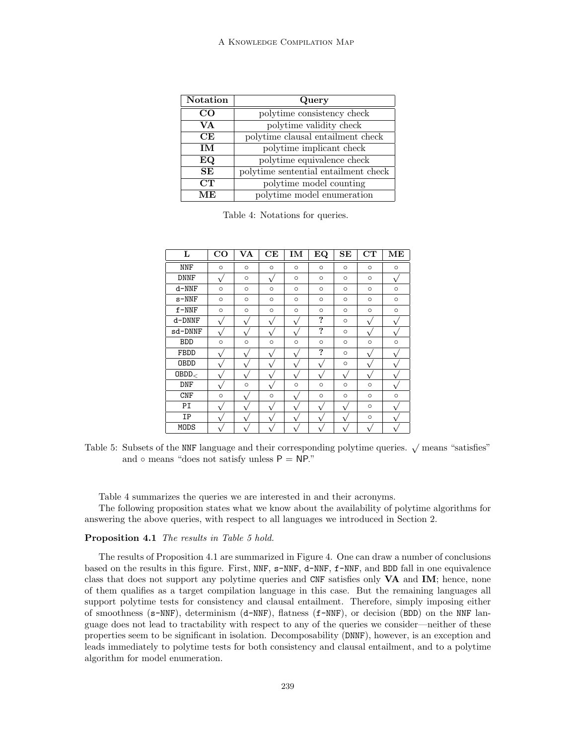| Notation | Query                                |
|----------|--------------------------------------|
| CO       | polytime consistency check           |
| VA.      | polytime validity check              |
| CE       | polytime clausal entailment check    |
| IM       | polytime implicant check             |
| EQ       | polytime equivalence check           |
| SE       | polytime sentential entailment check |
| CT       | polytime model counting              |
| MЕ       | polytime model enumeration           |

|  | Table 4: Notations for queries. |  |
|--|---------------------------------|--|
|  |                                 |  |

| L            | CO           | <b>VA</b>    | CE          | IM           | EQ                      | <b>SE</b>    | CT           | ME      |
|--------------|--------------|--------------|-------------|--------------|-------------------------|--------------|--------------|---------|
| <b>NNF</b>   | $\circ$      | $\circ$      | $\circ$     | $\circ$      | $\circ$                 | $\circ$      | $\circ$      | $\circ$ |
| <b>DNNF</b>  | $\sqrt{ }$   | $\circ$      | $\sqrt{2}$  | $\circ$      | $\circ$                 | $\circ$      | $\circ$      | ٦       |
| $d-NNF$      | $\circ$      | $\circ$      | $\circ$     | $\circ$      | $\circ$                 | $\circ$      | $\circ$      | $\circ$ |
| $s-NNF$      | $\circ$      | $\circ$      | $\circ$     | $\circ$      | $\circ$                 | $\circ$      | $\circ$      | $\circ$ |
| $f-NNF$      | $\circ$      | $\circ$      | $\circ$     | $\circ$      | $\circ$                 | $\circ$      | $\circ$      | $\circ$ |
| $d$ -DNN $F$ | À.           | 1.           |             |              | ?                       | $\circ$      | J.           |         |
| sd-DNNF      | $\sqrt{ }$   | $\mathbf{v}$ | $\mathbf v$ | $\sqrt{ }$   | $\overline{\mathbf{?}}$ | $\circ$      | v            | Î.      |
| <b>BDD</b>   | $\circ$      | $\circ$      | $\circ$     | $\circ$      | $\circ$                 | $\circ$      | $\circ$      | $\circ$ |
| FBDD         | $\mathbf v$  | $\mathbf{v}$ | $\mathbf v$ | $\sqrt{}$    | $\overline{\cdot}$      | $\circ$      | $\mathbf{v}$ | ٦       |
| <b>OBDD</b>  | $\mathbf{v}$ | $\mathbf{v}$ | $\sqrt{}$   | $\mathbf{v}$ | v                       | $\circ$      | À.           |         |
| $0$ BDD $<$  | 1            | Î.           |             |              |                         | $\mathbf{v}$ | À.           |         |
| <b>DNF</b>   | $\mathbf{v}$ | $\circ$      | $\sqrt{ }$  | $\circ$      | $\circ$                 | $\circ$      | $\circ$      | ٦       |
| <b>CNF</b>   | $\circ$      | J            | $\circ$     |              | $\circ$                 | $\circ$      | $\circ$      | $\circ$ |
| PI           | V            | J            |             | À            |                         | ٦            | $\circ$      |         |
| IP           | $\mathbf{v}$ | $\mathbf{v}$ | $\sqrt{}$   | $\sqrt{ }$   | v                       | $\mathbf{v}$ | $\circ$      | ٦       |
| MODS         |              |              |             |              |                         |              |              |         |

Table 5: Subsets of the NNF language and their corresponding polytime queries.  $\sqrt{\ }$  means "satisfies" and  $\circ$  means "does not satisfy unless  $P = NP$ ."

Table 4 summarizes the queries we are interested in and their acronyms.

The following proposition states what we know about the availability of polytime algorithms for answering the above queries, with respect to all languages we introduced in Section 2.

## Proposition 4.1 The results in Table 5 hold.

The results of Proposition 4.1 are summarized in Figure 4. One can draw a number of conclusions based on the results in this figure. First, NNF, s-NNF, d-NNF, f-NNF, and BDD fall in one equivalence class that does not support any polytime queries and CNF satisfies only VA and IM; hence, none of them qualifies as a target compilation language in this case. But the remaining languages all support polytime tests for consistency and clausal entailment. Therefore, simply imposing either of smoothness (s-NNF), determinism (d-NNF), flatness (f-NNF), or decision (BDD) on the NNF language does not lead to tractability with respect to any of the queries we consider—neither of these properties seem to be significant in isolation. Decomposability (DNNF), however, is an exception and leads immediately to polytime tests for both consistency and clausal entailment, and to a polytime algorithm for model enumeration.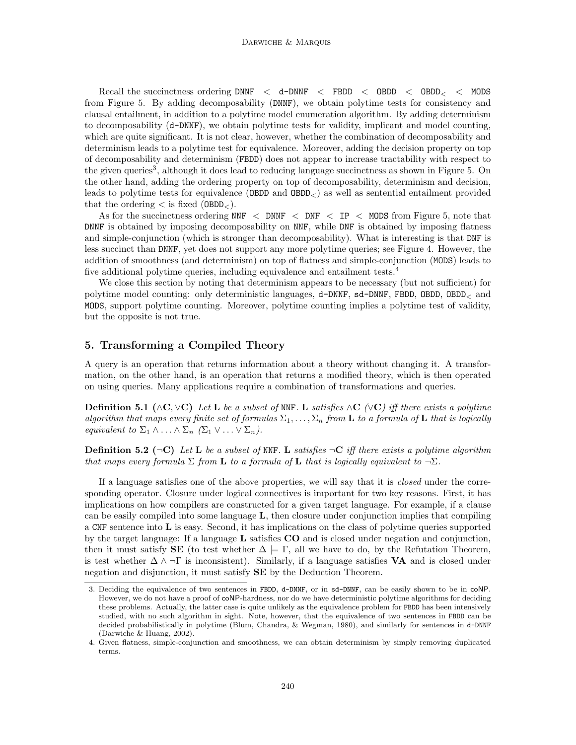Recall the succinctness ordering DNNF  $\langle$  d-DNNF  $\langle$  FBDD  $\langle$  OBDD  $\langle$  OBDD<sub> $\langle$ </sub>  $\langle$  MODS from Figure 5. By adding decomposability (DNNF), we obtain polytime tests for consistency and clausal entailment, in addition to a polytime model enumeration algorithm. By adding determinism to decomposability (d-DNNF), we obtain polytime tests for validity, implicant and model counting, which are quite significant. It is not clear, however, whether the combination of decomposability and determinism leads to a polytime test for equivalence. Moreover, adding the decision property on top of decomposability and determinism (FBDD) does not appear to increase tractability with respect to the given queries<sup>3</sup>, although it does lead to reducing language succinctness as shown in Figure 5. On the other hand, adding the ordering property on top of decomposability, determinism and decision, leads to polytime tests for equivalence (OBDD and OBDD<) as well as sentential entailment provided that the ordering  $\lt$  is fixed (OBDD<sub> $\lt$ </sub>).

As for the succinctness ordering  $NNF \leq DNF \leq DP \leq MODS$  from Figure 5, note that DNNF is obtained by imposing decomposability on NNF, while DNF is obtained by imposing flatness and simple-conjunction (which is stronger than decomposability). What is interesting is that DNF is less succinct than DNNF, yet does not support any more polytime queries; see Figure 4. However, the addition of smoothness (and determinism) on top of flatness and simple-conjunction (MODS) leads to five additional polytime queries, including equivalence and entailment tests.<sup>4</sup>

We close this section by noting that determinism appears to be necessary (but not sufficient) for polytime model counting: only deterministic languages, d-DNNF, sd-DNNF, FBDD, OBDD, OBDD<sup>&</sup>lt; and MODS, support polytime counting. Moreover, polytime counting implies a polytime test of validity, but the opposite is not true.

## 5. Transforming a Compiled Theory

A query is an operation that returns information about a theory without changing it. A transformation, on the other hand, is an operation that returns a modified theory, which is then operated on using queries. Many applications require a combination of transformations and queries.

**Definition 5.1** ( $\land$ **C**, $\lor$ **C**) Let **L** be a subset of NNF. **L** satisfies  $\land$ **C**  $\lor$ **C**) iff there exists a polytime algorithm that maps every finite set of formulas  $\Sigma_1, \ldots, \Sigma_n$  from L to a formula of L that is logically equivalent to  $\Sigma_1 \wedge \ldots \wedge \Sigma_n$   $(\Sigma_1 \vee \ldots \vee \Sigma_n)$ .

**Definition 5.2** ( $\neg$ C) Let **L** be a subset of NNF. **L** satisfies  $\neg$ C iff there exists a polytime algorithm that maps every formula  $\Sigma$  from **L** to a formula of **L** that is logically equivalent to  $\neg \Sigma$ .

If a language satisfies one of the above properties, we will say that it is *closed* under the corresponding operator. Closure under logical connectives is important for two key reasons. First, it has implications on how compilers are constructed for a given target language. For example, if a clause can be easily compiled into some language  $L$ , then closure under conjunction implies that compiling a CNF sentence into L is easy. Second, it has implications on the class of polytime queries supported by the target language: If a language  $\bf{L}$  satisfies  $\bf{CO}$  and is closed under negation and conjunction, then it must satisfy SE (to test whether  $\Delta \models \Gamma$ , all we have to do, by the Refutation Theorem, is test whether  $\Delta \wedge \neg \Gamma$  is inconsistent). Similarly, if a language satisfies **VA** and is closed under negation and disjunction, it must satisfy **SE** by the Deduction Theorem.

<sup>3.</sup> Deciding the equivalence of two sentences in FBDD, d-DNNF, or in sd-DNNF, can be easily shown to be in coNP. However, we do not have a proof of coNP-hardness, nor do we have deterministic polytime algorithms for deciding these problems. Actually, the latter case is quite unlikely as the equivalence problem for FBDD has been intensively studied, with no such algorithm in sight. Note, however, that the equivalence of two sentences in FBDD can be decided probabilistically in polytime (Blum, Chandra, & Wegman, 1980), and similarly for sentences in d-DNNF (Darwiche & Huang, 2002).

<sup>4.</sup> Given flatness, simple-conjunction and smoothness, we can obtain determinism by simply removing duplicated terms.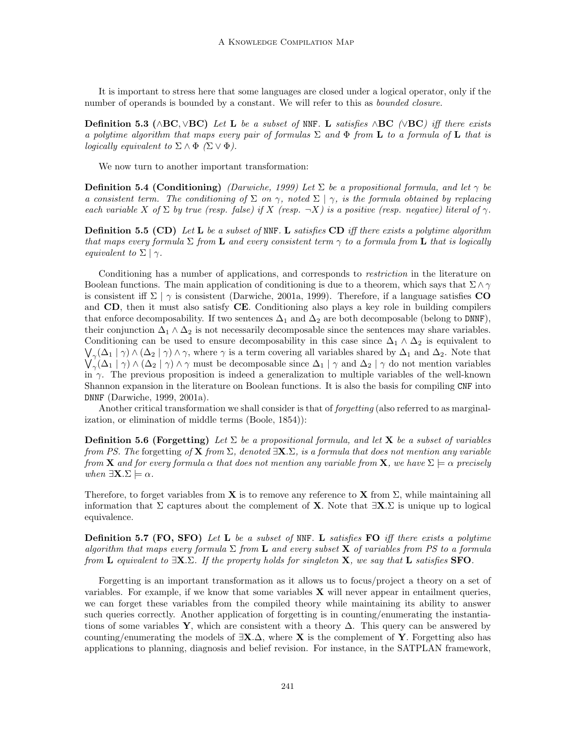It is important to stress here that some languages are closed under a logical operator, only if the number of operands is bounded by a constant. We will refer to this as *bounded closure*.

**Definition 5.3** (∧BC, ∨BC) Let L be a subset of NNF. L satisfies  $\wedge$ BC ( $\vee$ BC) iff there exists a polytime algorithm that maps every pair of formulas  $\Sigma$  and  $\Phi$  from **L** to a formula of **L** that is logically equivalent to  $\Sigma \wedge \Phi$  ( $\Sigma \vee \Phi$ ).

We now turn to another important transformation:

**Definition 5.4 (Conditioning)** (Darwiche, 1999) Let  $\Sigma$  be a propositional formula, and let  $\gamma$  be a consistent term. The conditioning of  $\Sigma$  on  $\gamma$ , noted  $\Sigma | \gamma$ , is the formula obtained by replacing each variable X of  $\Sigma$  by true (resp. false) if X (resp.  $\neg X$ ) is a positive (resp. negative) literal of  $\gamma$ .

**Definition 5.5 (CD)** Let **L** be a subset of NNF. **L** satisfies CD iff there exists a polytime algorithm that maps every formula  $\Sigma$  from L and every consistent term  $\gamma$  to a formula from L that is logically equivalent to  $\Sigma \mid \gamma$ .

Conditioning has a number of applications, and corresponds to restriction in the literature on Boolean functions. The main application of conditioning is due to a theorem, which says that  $\Sigma \wedge \gamma$ is consistent iff  $\Sigma$  |  $\gamma$  is consistent (Darwiche, 2001a, 1999). Therefore, if a language satisfies CO and **CD**, then it must also satisfy **CE**. Conditioning also plays a key role in building compilers that enforce decomposability. If two sentences  $\Delta_1$  and  $\Delta_2$  are both decomposable (belong to DNNF), their conjunction  $\Delta_1 \wedge \Delta_2$  is not necessarily decomposable since the sentences may share variables. Conditioning can be used to ensure decomposability in this case since  $\Delta_1 \wedge \Delta_2$  is equivalent to  $\bigvee_{\gamma} (\Delta_1 | \gamma) \wedge (\Delta_2 | \gamma) \wedge \gamma$ , where  $\gamma$  is a term covering all variables shared by  $\Delta_1$  and  $\Delta_2$ . Note that  $\gamma(\Delta_1 | \gamma) \wedge (\Delta_2 | \gamma) \wedge \gamma$  must be decomposable since  $\Delta_1 | \gamma$  and  $\Delta_2 | \gamma$  do not mention variables in  $\gamma$ . The previous proposition is indeed a generalization to multiple variables of the well-known Shannon expansion in the literature on Boolean functions. It is also the basis for compiling CNF into DNNF (Darwiche, 1999, 2001a).

Another critical transformation we shall consider is that of forgetting (also referred to as marginalization, or elimination of middle terms (Boole, 1854)):

**Definition 5.6 (Forgetting)** Let  $\Sigma$  be a propositional formula, and let **X** be a subset of variables from PS. The forgetting of **X** from  $\Sigma$ , denoted  $\exists \mathbf{X} \cdot \Sigma$ , is a formula that does not mention any variable from **X** and for every formula  $\alpha$  that does not mention any variable from **X**, we have  $\Sigma \models \alpha$  precisely when  $\exists \mathbf{X} . \Sigma \models \alpha$ .

Therefore, to forget variables from **X** is to remove any reference to **X** from  $\Sigma$ , while maintaining all information that  $\Sigma$  captures about the complement of **X**. Note that  $\exists \mathbf{X}.\Sigma$  is unique up to logical equivalence.

**Definition 5.7 (FO, SFO)** Let **L** be a subset of NNF. **L** satisfies FO iff there exists a polytime algorithm that maps every formula  $\Sigma$  from **L** and every subset **X** of variables from PS to a formula from **L** equivalent to  $\exists \mathbf{X}.\Sigma$ . If the property holds for singleton **X**, we say that **L** satisfies **SFO**.

Forgetting is an important transformation as it allows us to focus/project a theory on a set of variables. For example, if we know that some variables  $X$  will never appear in entailment queries, we can forget these variables from the compiled theory while maintaining its ability to answer such queries correctly. Another application of forgetting is in counting/enumerating the instantiations of some variables Y, which are consistent with a theory  $\Delta$ . This query can be answered by counting/enumerating the models of  $\exists \mathbf{X}. \Delta$ , where X is the complement of Y. Forgetting also has applications to planning, diagnosis and belief revision. For instance, in the SATPLAN framework,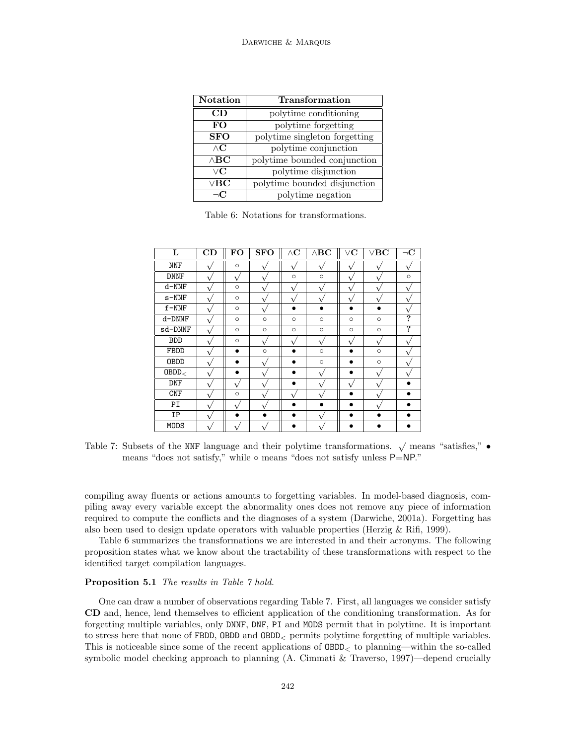| <b>Notation</b>  | Transformation                |
|------------------|-------------------------------|
| CD               | polytime conditioning         |
| FO               | polytime forgetting           |
| <b>SFO</b>       | polytime singleton forgetting |
| $\wedge {\bf C}$ | polytime conjunction          |
| $\wedge$ BC      | polytime bounded conjunction  |
| $\vee$ <b>C</b>  | polytime disjunction          |
| $\vee$ BC        | polytime bounded disjunction  |
| $\neg$ C         | polytime negation             |

Table 6: Notations for transformations.

| L           | CD          | FO      | <b>SFO</b> | $\wedge {\bf C}$ | $\wedge \mathbf{B}\mathbf{C}$ | $\vee \mathbf{C}$ | $\vee$ BC | $\neg \mathbf{C}$       |
|-------------|-------------|---------|------------|------------------|-------------------------------|-------------------|-----------|-------------------------|
| NNF         |             | $\circ$ |            | $\mathbf v$      | $\mathbf{v}$                  | ٦.                |           |                         |
| <b>DNNF</b> |             | À.      | V          | $\circ$          | $\circ$                       | ٦                 | ٦         | $\circ$                 |
| $d-NNF$     |             | $\circ$ | ٦          | r                | ٦                             | ٦                 |           |                         |
| $s-NNF$     | À           | $\circ$ | V          | $\sqrt{ }$       | 1                             | v                 | ٦         |                         |
| $f-NNF$     | ٦,          | $\circ$ |            | $\bullet$        | $\bullet$                     | $\bullet$         |           |                         |
| d-DNNF      |             | $\circ$ | $\circ$    | $\circ$          | $\circ$                       | $\circ$           | $\circ$   | $\overline{\cdot}$      |
| sd-DNNF     | $\mathbf v$ | $\circ$ | $\circ$    | $\circ$          | $\circ$                       | $\circ$           | $\circ$   | $\overline{\mathbf{?}}$ |
| <b>BDD</b>  |             | $\circ$ | J.         | r                | ٦                             |                   |           |                         |
| FBDD        |             |         | $\circ$    |                  | $\circ$                       |                   | $\circ$   |                         |
| <b>OBDD</b> | ٦,          |         | 1.         |                  | $\circ$                       |                   | $\circ$   |                         |
| $0$ BDD $<$ | À.          |         |            |                  | ٦                             |                   | ٦         |                         |
| DNF         |             |         |            |                  |                               |                   |           |                         |
| CNF         |             | $\circ$ |            | V                |                               |                   |           |                         |
| PI          | J.          | J.      | ٦          |                  |                               |                   |           |                         |
| IP          | À           |         |            |                  | ٦.                            |                   |           |                         |
| MODS        |             |         |            |                  |                               |                   |           |                         |

Table 7: Subsets of the NNF language and their polytime transformations.  $\sqrt{\ }$  means "satisfies," means "does not satisfy," while ∘ means "does not satisfy unless P=NP."

compiling away fluents or actions amounts to forgetting variables. In model-based diagnosis, compiling away every variable except the abnormality ones does not remove any piece of information required to compute the conflicts and the diagnoses of a system (Darwiche, 2001a). Forgetting has also been used to design update operators with valuable properties (Herzig  $\&$  Rifi, 1999).

Table 6 summarizes the transformations we are interested in and their acronyms. The following proposition states what we know about the tractability of these transformations with respect to the identified target compilation languages.

#### Proposition 5.1 The results in Table 7 hold.

One can draw a number of observations regarding Table 7. First, all languages we consider satisfy CD and, hence, lend themselves to efficient application of the conditioning transformation. As for forgetting multiple variables, only DNNF, DNF, PI and MODS permit that in polytime. It is important to stress here that none of FBDD,  $\text{OBDD}$  and  $\text{OBDD}_\leq$  permits polytime forgetting of multiple variables. This is noticeable since some of the recent applications of  $OBDD<sub>z</sub>$  to planning—within the so-called symbolic model checking approach to planning (A. Cimmati & Traverso, 1997)—depend crucially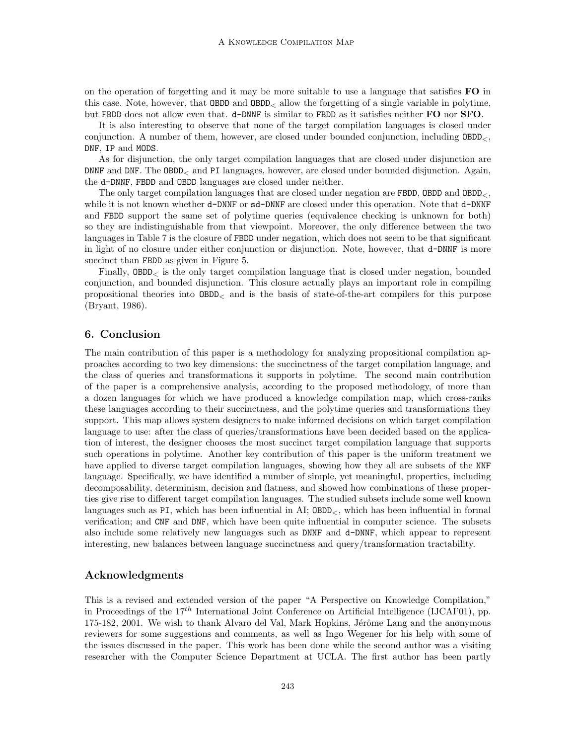on the operation of forgetting and it may be more suitable to use a language that satisfies  $\bf{FO}$  in this case. Note, however, that  $OBDD$  and  $OBDD<sub>5</sub>$  allow the forgetting of a single variable in polytime, but FBDD does not allow even that. d-DNNF is similar to FBDD as it satisfies neither FO nor SFO.

It is also interesting to observe that none of the target compilation languages is closed under conjunction. A number of them, however, are closed under bounded conjunction, including  $OBDD<sub>5</sub>$ , DNF, IP and MODS.

As for disjunction, the only target compilation languages that are closed under disjunction are DNNF and DNF. The  $OBDD<sub>z</sub>$  and PI languages, however, are closed under bounded disjunction. Again, the d-DNNF, FBDD and OBDD languages are closed under neither.

The only target compilation languages that are closed under negation are FBDD, OBDD and OBDD. while it is not known whether d-DNNF or sd-DNNF are closed under this operation. Note that d-DNNF and FBDD support the same set of polytime queries (equivalence checking is unknown for both) so they are indistinguishable from that viewpoint. Moreover, the only difference between the two languages in Table 7 is the closure of FBDD under negation, which does not seem to be that significant in light of no closure under either conjunction or disjunction. Note, however, that d-DNNF is more succinct than FBDD as given in Figure 5.

Finally, OBDD<sub> $\epsilon$ </sub> is the only target compilation language that is closed under negation, bounded conjunction, and bounded disjunction. This closure actually plays an important role in compiling propositional theories into  $OBDD<sub>z</sub>$  and is the basis of state-of-the-art compilers for this purpose (Bryant, 1986).

## 6. Conclusion

The main contribution of this paper is a methodology for analyzing propositional compilation approaches according to two key dimensions: the succinctness of the target compilation language, and the class of queries and transformations it supports in polytime. The second main contribution of the paper is a comprehensive analysis, according to the proposed methodology, of more than a dozen languages for which we have produced a knowledge compilation map, which cross-ranks these languages according to their succinctness, and the polytime queries and transformations they support. This map allows system designers to make informed decisions on which target compilation language to use: after the class of queries/transformations have been decided based on the application of interest, the designer chooses the most succinct target compilation language that supports such operations in polytime. Another key contribution of this paper is the uniform treatment we have applied to diverse target compilation languages, showing how they all are subsets of the NNF language. Specifically, we have identified a number of simple, yet meaningful, properties, including decomposability, determinism, decision and flatness, and showed how combinations of these properties give rise to different target compilation languages. The studied subsets include some well known languages such as  $PI$ , which has been influential in  $AI$ ;  $OBDD<sub>z</sub>$ , which has been influential in formal verification; and CNF and DNF, which have been quite influential in computer science. The subsets also include some relatively new languages such as DNNF and d-DNNF, which appear to represent interesting, new balances between language succinctness and query/transformation tractability.

## Acknowledgments

This is a revised and extended version of the paper "A Perspective on Knowledge Compilation," in Proceedings of the  $17^{th}$  International Joint Conference on Artificial Intelligence (IJCAI'01), pp. 175-182, 2001. We wish to thank Alvaro del Val, Mark Hopkins, Jérôme Lang and the anonymous reviewers for some suggestions and comments, as well as Ingo Wegener for his help with some of the issues discussed in the paper. This work has been done while the second author was a visiting researcher with the Computer Science Department at UCLA. The first author has been partly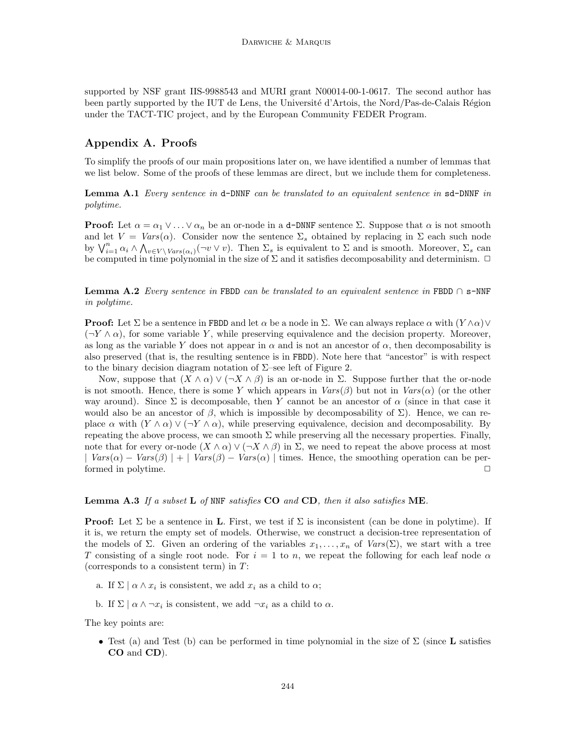supported by NSF grant IIS-9988543 and MURI grant N00014-00-1-0617. The second author has been partly supported by the IUT de Lens, the Université d'Artois, the Nord/Pas-de-Calais Région under the TACT-TIC project, and by the European Community FEDER Program.

## Appendix A. Proofs

To simplify the proofs of our main propositions later on, we have identified a number of lemmas that we list below. Some of the proofs of these lemmas are direct, but we include them for completeness.

Lemma A.1 Every sentence in d-DNNF can be translated to an equivalent sentence in sd-DNNF in polytime.

**Proof:** Let  $\alpha = \alpha_1 \vee \ldots \vee \alpha_n$  be an or-node in a d-DNNF sentence  $\Sigma$ . Suppose that  $\alpha$  is not smooth and let  $V = Vars(\alpha)$ . Consider now the sentence  $\Sigma_s$  obtained by replacing in  $\Sigma$  each such node and let  $V = Vars(\alpha)$ . Consider now the sentence  $\Delta_s$  obtained by replacing in  $\Delta$  each such node<br>by  $\bigvee_{i=1}^n \alpha_i \wedge \bigwedge_{v \in V\setminus Vars(\alpha_i)} (\neg v \vee v)$ . Then  $\Sigma_s$  is equivalent to  $\Sigma$  and is smooth. Moreover,  $\Sigma_s$  can be computed in time polynomial in the size of  $\Sigma$  and it satisfies decomposability and determinism.  $\square$ 

**Lemma A.2** Every sentence in FBDD can be translated to an equivalent sentence in FBDD  $\cap$  s-NNF in polytime.

**Proof:** Let  $\Sigma$  be a sentence in FBDD and let  $\alpha$  be a node in  $\Sigma$ . We can always replace  $\alpha$  with  $(Y \wedge \alpha) \vee$  $(\neg Y \wedge \alpha)$ , for some variable Y, while preserving equivalence and the decision property. Moreover, as long as the variable Y does not appear in  $\alpha$  and is not an ancestor of  $\alpha$ , then decomposability is also preserved (that is, the resulting sentence is in FBDD). Note here that "ancestor" is with respect to the binary decision diagram notation of  $\Sigma$ –see left of Figure 2.

Now, suppose that  $(X \wedge \alpha) \vee (\neg X \wedge \beta)$  is an or-node in  $\Sigma$ . Suppose further that the or-node is not smooth. Hence, there is some Y which appears in  $Vars(\beta)$  but not in  $Vars(\alpha)$  (or the other way around). Since  $\Sigma$  is decomposable, then Y cannot be an ancestor of  $\alpha$  (since in that case it would also be an ancestor of  $\beta$ , which is impossible by decomposability of  $\Sigma$ ). Hence, we can replace  $\alpha$  with  $(Y \wedge \alpha) \vee (\neg Y \wedge \alpha)$ , while preserving equivalence, decision and decomposability. By repeating the above process, we can smooth  $\Sigma$  while preserving all the necessary properties. Finally, note that for every or-node  $(X \wedge \alpha) \vee (\neg X \wedge \beta)$  in  $\Sigma$ , we need to repeat the above process at most  $|Vars(\alpha) - Vars(\beta)| + |Vars(\beta) - Vars(\alpha)|$  times. Hence, the smoothing operation can be performed in polytime.

## **Lemma A.3** If a subset **L** of NNF satisfies CO and CD, then it also satisfies ME.

**Proof:** Let  $\Sigma$  be a sentence in **L**. First, we test if  $\Sigma$  is inconsistent (can be done in polytime). If it is, we return the empty set of models. Otherwise, we construct a decision-tree representation of the models of  $\Sigma$ . Given an ordering of the variables  $x_1, \ldots, x_n$  of  $Vars(\Sigma)$ , we start with a tree T consisting of a single root node. For  $i = 1$  to n, we repeat the following for each leaf node  $\alpha$ (corresponds to a consistent term) in T:

- a. If  $\Sigma \mid \alpha \wedge x_i$  is consistent, we add  $x_i$  as a child to  $\alpha$ ;
- b. If  $\Sigma \mid \alpha \wedge \neg x_i$  is consistent, we add  $\neg x_i$  as a child to  $\alpha$ .

The key points are:

• Test (a) and Test (b) can be performed in time polynomial in the size of  $\Sigma$  (since **L** satisfies CO and CD).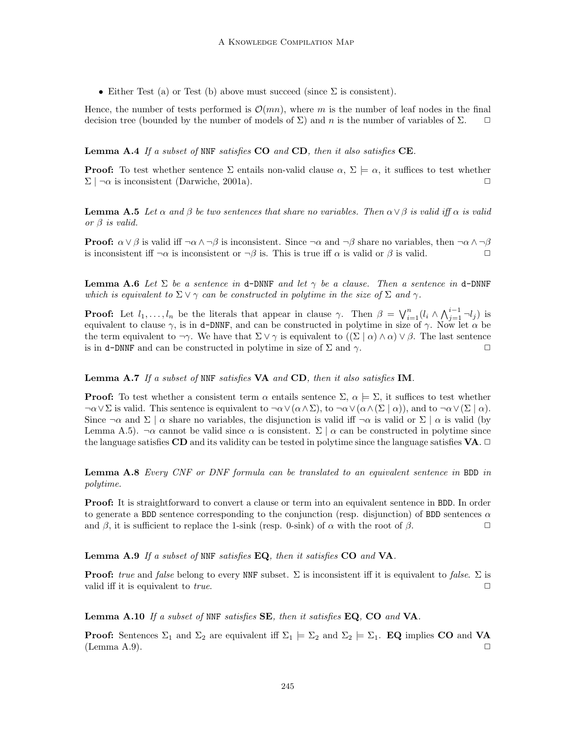• Either Test (a) or Test (b) above must succeed (since  $\Sigma$  is consistent).

Hence, the number of tests performed is  $\mathcal{O}(mn)$ , where m is the number of leaf nodes in the final decision tree (bounded by the number of models of  $\Sigma$ ) and n is the number of variables of  $\Sigma$ .  $\Box$ 

**Lemma A.4** If a subset of NNF satisfies  $CO$  and  $CD$ , then it also satisfies  $CE$ .

**Proof:** To test whether sentence  $\Sigma$  entails non-valid clause  $\alpha$ ,  $\Sigma \models \alpha$ , it suffices to test whether  $\Sigma$  |  $\neg \alpha$  is inconsistent (Darwiche, 2001a).  $\square$ 

**Lemma A.5** Let  $\alpha$  and  $\beta$  be two sentences that share no variables. Then  $\alpha \vee \beta$  is valid iff  $\alpha$  is valid or  $\beta$  is valid.

**Proof:**  $\alpha \vee \beta$  is valid iff  $\neg \alpha \wedge \neg \beta$  is inconsistent. Since  $\neg \alpha$  and  $\neg \beta$  share no variables, then  $\neg \alpha \wedge \neg \beta$ is inconsistent iff  $\neg \alpha$  is inconsistent or  $\neg \beta$  is. This is true iff  $\alpha$  is valid or  $\beta$  is valid.  $\Box$ 

**Lemma A.6** Let  $\Sigma$  be a sentence in d-DNNF and let  $\gamma$  be a clause. Then a sentence in d-DNNF which is equivalent to  $\Sigma \vee \gamma$  can be constructed in polytime in the size of  $\Sigma$  and  $\gamma$ .

**Proof:** Let  $l_1, \ldots, l_n$  be the literals that appear in clause  $\gamma$ . Then  $\beta = \bigvee_{i=1}^n (l_i \wedge \bigwedge_{j=1}^{i-1} \neg l_j)$  is equivalent to clause  $\gamma$ , is in d-DNNF, and can be constructed in polytime in size of  $\gamma$ . Now let  $\alpha$  be the term equivalent to  $\neg \gamma$ . We have that  $\Sigma \vee \gamma$  is equivalent to  $((\Sigma \mid \alpha) \wedge \alpha) \vee \beta$ . The last sentence is in d-DNNF and can be constructed in polytime in size of  $\Sigma$  and  $\gamma$ .

**Lemma A.7** If a subset of NNF satisfies  $VA$  and  $CD$ , then it also satisfies IM.

**Proof:** To test whether a consistent term  $\alpha$  entails sentence  $\Sigma$ ,  $\alpha \models \Sigma$ , it suffices to test whether  $\neg \alpha \vee \Sigma$  is valid. This sentence is equivalent to  $\neg \alpha \vee (\alpha \wedge \Sigma)$ , to  $\neg \alpha \vee (\alpha \wedge (\Sigma \mid \alpha))$ , and to  $\neg \alpha \vee (\Sigma \mid \alpha)$ . Since  $\neg \alpha$  and  $\Sigma \mid \alpha$  share no variables, the disjunction is valid iff  $\neg \alpha$  is valid or  $\Sigma \mid \alpha$  is valid (by Lemma A.5).  $\neg \alpha$  cannot be valid since  $\alpha$  is consistent.  $\Sigma | \alpha$  can be constructed in polytime since the language satisfies CD and its validity can be tested in polytime since the language satisfies  $VA$ .  $\Box$ 

Lemma A.8 Every CNF or DNF formula can be translated to an equivalent sentence in BDD in polytime.

Proof: It is straightforward to convert a clause or term into an equivalent sentence in BDD. In order to generate a BDD sentence corresponding to the conjunction (resp. disjunction) of BDD sentences  $\alpha$ and  $\beta$ , it is sufficient to replace the 1-sink (resp. 0-sink) of  $\alpha$  with the root of  $\beta$ .

**Lemma A.9** If a subset of NNF satisfies  $EQ$ , then it satisfies  $CO$  and  $VA$ .

**Proof:** true and false belong to every NNF subset.  $\Sigma$  is inconsistent iff it is equivalent to false.  $\Sigma$  is valid iff it is equivalent to *true*.  $\Box$ 

**Lemma A.10** If a subset of NNF satisfies  $SE$ , then it satisfies  $EQ$ ,  $CO$  and  $VA$ .

**Proof:** Sentences  $\Sigma_1$  and  $\Sigma_2$  are equivalent iff  $\Sigma_1 \models \Sigma_2$  and  $\Sigma_2 \models \Sigma_1$ . **EQ** implies **CO** and **VA**  $(\text{Lemma A.9}).$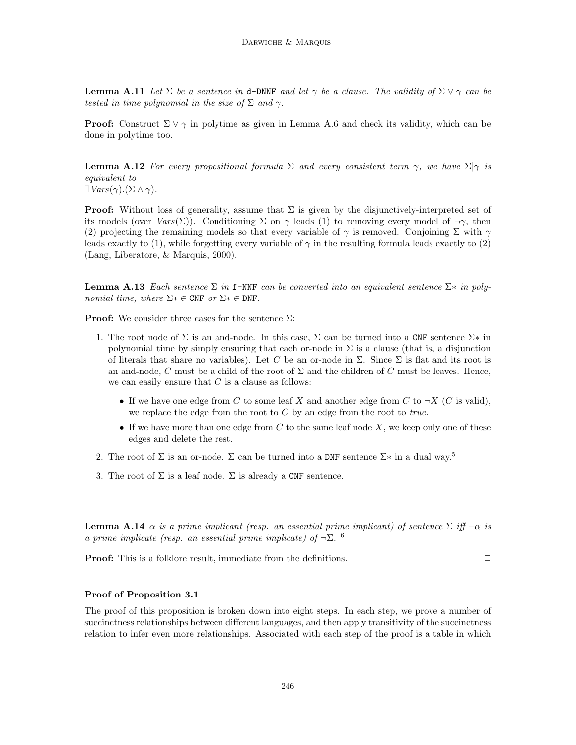**Lemma A.11** Let  $\Sigma$  be a sentence in d-DNNF and let  $\gamma$  be a clause. The validity of  $\Sigma \vee \gamma$  can be tested in time polynomial in the size of  $\Sigma$  and  $\gamma$ .

**Proof:** Construct  $\Sigma \vee \gamma$  in polytime as given in Lemma A.6 and check its validity, which can be done in polytime too.  $\Box$ 

**Lemma A.12** For every propositional formula  $\Sigma$  and every consistent term  $\gamma$ , we have  $\Sigma|\gamma$  is equivalent to  $\exists \textit{Vars}(\gamma) . (\Sigma \wedge \gamma).$ 

**Proof:** Without loss of generality, assume that  $\Sigma$  is given by the disjunctively-interpreted set of its models (over  $Vars(\Sigma)$ ). Conditioning  $\Sigma$  on  $\gamma$  leads (1) to removing every model of  $\neg \gamma$ , then (2) projecting the remaining models so that every variable of  $\gamma$  is removed. Conjoining  $\Sigma$  with  $\gamma$ leads exactly to (1), while forgetting every variable of  $\gamma$  in the resulting formula leads exactly to (2) (Lang, Liberatore,  $\&$  Marquis, 2000).  $\Box$ 

**Lemma A.13** Each sentence  $\Sigma$  in f-NNF can be converted into an equivalent sentence  $\Sigma^*$  in polynomial time, where  $\Sigma^* \in \text{CNF}$  or  $\Sigma^* \in \text{DNF}$ .

**Proof:** We consider three cases for the sentence  $\Sigma$ :

- 1. The root node of  $\Sigma$  is an and-node. In this case,  $\Sigma$  can be turned into a CNF sentence  $\Sigma^*$  in polynomial time by simply ensuring that each or-node in  $\Sigma$  is a clause (that is, a disjunction of literals that share no variables). Let C be an or-node in  $\Sigma$ . Since  $\Sigma$  is flat and its root is an and-node, C must be a child of the root of  $\Sigma$  and the children of C must be leaves. Hence, we can easily ensure that  $C$  is a clause as follows:
	- If we have one edge from C to some leaf X and another edge from C to  $\neg X$  (C is valid), we replace the edge from the root to  $C$  by an edge from the root to true.
	- If we have more than one edge from  $C$  to the same leaf node  $X$ , we keep only one of these edges and delete the rest.
- 2. The root of  $\Sigma$  is an or-node.  $\Sigma$  can be turned into a DNF sentence  $\Sigma^*$  in a dual way.<sup>5</sup>
- 3. The root of  $\Sigma$  is a leaf node.  $\Sigma$  is already a CNF sentence.

 $\Box$ 

**Lemma A.14**  $\alpha$  is a prime implicant (resp. an essential prime implicant) of sentence  $\Sigma$  iff  $\neg \alpha$  is a prime implicate (resp. an essential prime implicate) of  $\neg \Sigma$ . <sup>6</sup>

**Proof:** This is a folklore result, immediate from the definitions.

## Proof of Proposition 3.1

The proof of this proposition is broken down into eight steps. In each step, we prove a number of succinctness relationships between different languages, and then apply transitivity of the succinctness relation to infer even more relationships. Associated with each step of the proof is a table in which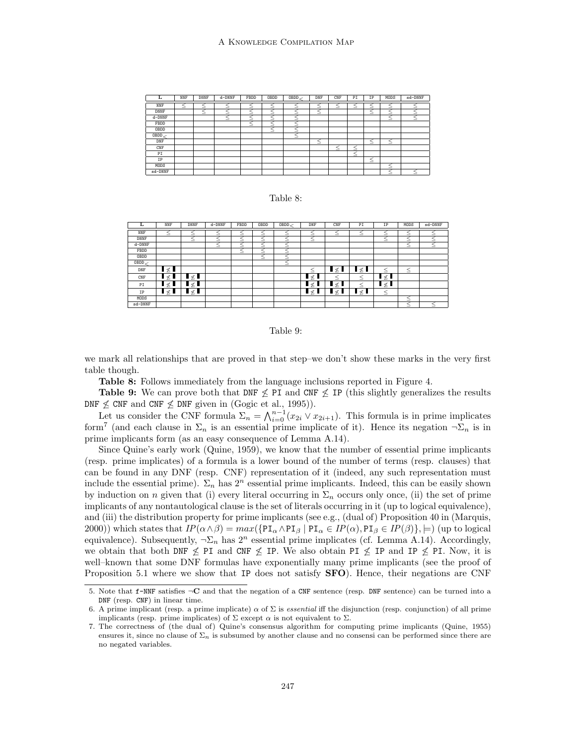#### A Knowledge Compilation Map

| ┻            | NNF | <b>DNNF</b> | $d$ -DNN $F$ | FBDD   | OBDD | OBDD. | DNF    | CNF | PI          | IP     | MODS   | sd-DNNF |
|--------------|-----|-------------|--------------|--------|------|-------|--------|-----|-------------|--------|--------|---------|
| NNF          | $-$ | -           | -            | –      | -    | -     | -      |     | _           | _      | _      |         |
| <b>DNNF</b>  |     | –           | -            | -      | -    | -     |        |     |             | $-$    |        |         |
| $d$ -DNN $F$ |     |             | _            | ⇁<br>_ | _    | -     |        |     |             |        | ⋜<br>_ |         |
| FBDD         |     |             |              | ⋜<br>- | _    | _     |        |     |             |        |        |         |
| OBDD         |     |             |              |        | -    | -     |        |     |             |        |        |         |
| OBDD         |     |             |              |        |      | -     |        |     |             |        |        |         |
| DNF          |     |             |              |        |      |       | ╭<br>- |     |             | $-$    | ⋜<br>- |         |
| CNF          |     |             |              |        |      |       |        |     | _           |        |        |         |
| PI           |     |             |              |        |      |       |        |     | ⇁<br>≺<br>_ |        |        |         |
| <b>IP</b>    |     |             |              |        |      |       |        |     |             | ≺<br>- |        |         |
| MODS         |     |             |              |        |      |       |        |     |             |        | _      |         |
| sd-DNNF      |     |             |              |        |      |       |        |     |             |        |        |         |

#### Table 8:

| L            | <b>NNF</b>                       | <b>DNNF</b>    | $d$ -DNN $F$ | FBDD   | OBDD   | OBDD     | DNF | CNF            | PI             | IP     | MODS   | sd-DNNF |
|--------------|----------------------------------|----------------|--------------|--------|--------|----------|-----|----------------|----------------|--------|--------|---------|
| NNF          | -                                |                | -            | -      | _      |          | -   | -              | -              |        | -      |         |
| <b>DNNF</b>  |                                  | $-$            |              | <<br>_ | –      | $-$      | -   |                |                | -      |        |         |
| $d$ -DNN $F$ |                                  |                | -            | <<br>– | _      | $-$      |     |                |                |        | <<br>- | ╰<br>-  |
| FBDD         |                                  |                |              | <<br>_ | _      |          |     |                |                |        |        |         |
| OBDD         |                                  |                |              |        | <<br>- | $-$      |     |                |                |        |        |         |
| OBDD         |                                  |                |              |        |        | ≺<br>$-$ |     |                |                |        |        |         |
| DNF          | $\mathsf{I} \not\leq \mathsf{I}$ |                |              |        |        |          |     | $1 \leq r$     | $\blacksquare$ |        | ≤      |         |
| CNF          | l ≰ l                            | l ≤ l          |              |        |        |          | ≮   |                |                | ⊀      |        |         |
| PI           | ∎ ≰ I                            | $\blacksquare$ |              |        |        |          | ⊀   | ≮              |                | ∎≰     |        |         |
| IP           | l ≰ l                            | l ≤ l          |              |        |        |          | ╹   | $\blacksquare$ | $\blacksquare$ | ↖<br>- |        |         |
| MODS         |                                  |                |              |        |        |          |     |                |                |        | ≺<br>- |         |
| sd-DNNF      |                                  |                |              |        |        |          |     |                |                |        | ≦<br>- |         |



we mark all relationships that are proved in that step–we don't show these marks in the very first table though.

Table 8: Follows immediately from the language inclusions reported in Figure 4.

Table 9: We can prove both that DNF  $\leq$  PI and CNF  $\leq$  IP (this slightly generalizes the results DNF  $\leq$  CNF and CNF  $\leq$  DNF given in (Gogic et al., 1995)).

Let us consider the CNF formula  $\Sigma_n = \bigwedge_{i=0}^{n-1} (x_{2i} \vee x_{2i+1})$ . This formula is in prime implicates form<sup>7</sup> (and each clause in  $\Sigma_n$  is an essential prime implicate of it). Hence its negation  $\neg \Sigma_n$  is in prime implicants form (as an easy consequence of Lemma A.14).

Since Quine's early work (Quine, 1959), we know that the number of essential prime implicants (resp. prime implicates) of a formula is a lower bound of the number of terms (resp. clauses) that can be found in any DNF (resp. CNF) representation of it (indeed, any such representation must include the essential prime).  $\Sigma_n$  has  $2^n$  essential prime implicants. Indeed, this can be easily shown by induction on n given that (i) every literal occurring in  $\Sigma_n$  occurs only once, (ii) the set of prime implicants of any nontautological clause is the set of literals occurring in it (up to logical equivalence), and (iii) the distribution property for prime implicants (see e.g., (dual of) Proposition 40 in (Marquis, 2000)) which states that  $IP(\alpha \wedge \beta) = max({\lbrace \text{PL}_{\alpha} \wedge \text{PL}_{\beta} \mid \text{PL}_{\alpha} \in IP(\alpha), \text{PL}_{\beta} \in IP(\beta)}], \models)$  (up to logical equivalence). Subsequently,  $\neg \Sigma_n$  has  $2^n$  essential prime implicates (cf. Lemma A.14). Accordingly, we obtain that both DNF  $\leq$  PI and CNF  $\leq$  IP. We also obtain PI  $\leq$  IP and IP  $\leq$  PI. Now, it is well–known that some DNF formulas have exponentially many prime implicants (see the proof of Proposition 5.1 where we show that IP does not satisfy **SFO**). Hence, their negations are CNF

<sup>5.</sup> Note that f-NNF satisfies ¬C and that the negation of a CNF sentence (resp. DNF sentence) can be turned into a DNF (resp. CNF) in linear time.

<sup>6.</sup> A prime implicant (resp. a prime implicate)  $\alpha$  of  $\Sigma$  is *essential* iff the disjunction (resp. conjunction) of all prime implicants (resp. prime implicates) of  $\Sigma$  except  $\alpha$  is not equivalent to  $\Sigma$ .

<sup>7.</sup> The correctness of (the dual of) Quine's consensus algorithm for computing prime implicants (Quine, 1955) ensures it, since no clause of  $\Sigma_n$  is subsumed by another clause and no consensi can be performed since there are no negated variables.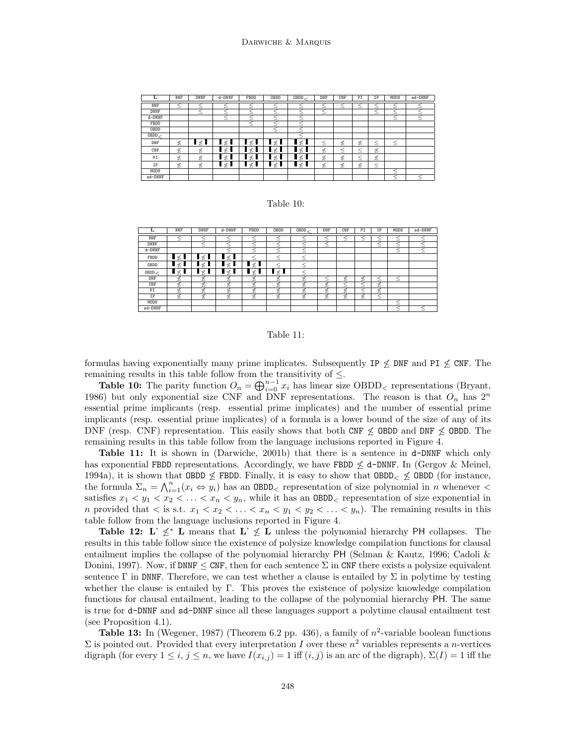#### Darwiche & Marquis

| L            | NNF | <b>DNNF</b>    | $d$ -DNN $F$   | FBDD         | OBDD   | OBDD. | DNF          | CNF         | PI | IP     | MODS       | sd-DNNF |
|--------------|-----|----------------|----------------|--------------|--------|-------|--------------|-------------|----|--------|------------|---------|
| NNF          | -   | -              | _              |              | -      | -     |              | ≺<br>--     | -  | –      | -          |         |
| DNNF         |     | ≥              | -              | –            | $-$    | -     | $\prec$<br>- |             |    | -      | -          |         |
| $d$ -DNN $F$ |     |                | -              | -            |        | _     |              |             |    |        |            | –       |
| FBDD         |     |                |                | ⋜<br>-       | -      | _     |              |             |    |        |            |         |
| OBDD         |     |                |                |              | ⋜<br>- | -     |              |             |    |        |            |         |
| OBDD         |     |                |                |              |        | ↖     |              |             |    |        |            |         |
| DNF          | Ł   | $\blacksquare$ | ∎≮I            | $\leq$       | メ      | メ     | $\,<$        | ≰           | ≰  | <<br>– | $\,<$<br>- |         |
| CNF          | 乏   | Ł              | $\blacksquare$ | $4 \times 1$ | ⊀      | ≮     | ≰            | $\,<$<br>-- | ≤  | ≰      |            |         |
| PI           | 乏   | Ł              | $\prec$        | X            | x      | ≮     | 乏            | Ł           | ≤  | 乏      |            |         |
| IP           | 乏   | 纟              | ∎ ≰            | $\not\leq$   | メ      | ≮     | 乏            | ≰           | 乏  | <<br>- |            |         |
| MODS         |     |                |                |              |        |       |              |             |    |        | ≺<br>-     |         |
| sd-DNNF      |     |                |                |              |        |       |              |             |    |        | -          |         |

#### Table 10:

| L            | NNF                            | DNNF    | $d$ -DNN $F$ | FBDD    | OBDD         | OBDD         | DNF | CNF | PI     | IP     | MODS     | sd-DNNF |
|--------------|--------------------------------|---------|--------------|---------|--------------|--------------|-----|-----|--------|--------|----------|---------|
| NNF          | -                              | -       | -            | –       | -            | -            |     | --  | –      | $-$    | -        |         |
| <b>DNNF</b>  |                                | ⋜<br>_  |              | –       | -            | ÷<br>-       |     |     |        | $-$    | -        |         |
| $d$ -DNN $F$ |                                |         | -            | –       |              | -<br>–       |     |     |        |        | ≺<br>$-$ | $-$     |
| FBDD         | $\mathbf{I}$ $\mathbf{\times}$ | ≮       | ∵ ≼ ⊾        | ≺       |              | $\,<\,$<br>_ |     |     |        |        |          |         |
| OBDD         | $\prec$                        | $\prec$ | ≮            | $\prec$ | -            | –            |     |     |        |        |          |         |
| OBDD,        | 幺                              | ⊀       | $Z$ 1        | ⊀       | $\prec$<br>П | ≺<br>–       |     |     |        |        |          |         |
| DNF          | 乏                              | ó       |              | d       | s<br>2       | ⊿            | ↖   | Ł   | Ł      | ↖<br>- | ≺<br>-   |         |
| CNF          | 乏                              | s       | ⊲<br>~       | 文       | 夂            | Ł            | 乏   | ≺   | ╰<br>- | 乏      |          |         |
| PI           | 乏                              | z.      |              | é.      | ń            |              | 乏   | Ł   | ↖<br>- | Ł      |          |         |
| IP           | 乏                              | s       | ⊲            | s       | ⊲<br>2       | ó<br>75      | 乏   | Ł   | 乏      | ≺<br>- |          |         |
| MODS         |                                |         |              |         |              |              |     |     |        |        | ≺<br>$-$ |         |
| sd-DNNF      |                                |         |              |         |              |              |     |     |        |        | -        |         |

#### Table 11:

formulas having exponentially many prime implicates. Subsequently IP  $\leq$  DNF and PI  $\leq$  CNF. The remaining results in this table follow from the transitivity of  $\leq$ .

**Table 10:** The parity function  $O_n = \bigoplus_{i=0}^{n-1} x_i$  has linear size OBDD<sub><</sub> representations (Bryant, 1986) but only exponential size CNF and DNF representations. The reason is that  $O_n$  has  $2^n$ essential prime implicants (resp. essential prime implicates) and the number of essential prime implicants (resp. essential prime implicates) of a formula is a lower bound of the size of any of its DNF (resp. CNF) representation. This easily shows that both CNF  $\leq$  OBDD and DNF  $\leq$  OBDD. The remaining results in this table follow from the language inclusions reported in Figure 4.

Table 11: It is shown in (Darwiche, 2001b) that there is a sentence in d-DNNF which only has exponential FBDD representations. Accordingly, we have FBDD  $\nleq$  d-DNNF. In (Gergov & Meinel, 1994a), it is shown that OBDD  $\nleq$  FBDD. Finally, it is easy to show that OBDD<sub> $\leq$ </sub>  $\leq$  OBDD (for instance, the formula  $\Sigma_n = \bigwedge_{i=1}^n (x_i \Leftrightarrow y_i)$  has an OBDD<sub><</sub> representation of size polynomial in n whenever < satisfies  $x_1 < y_1 < x_2 < \ldots < x_n < y_n$ , while it has an OBDD<sub> $\lt$ </sub> representation of size exponential in n provided that  $\lt$  is s.t.  $x_1 \lt x_2 \lt \ldots \lt x_n \lt y_1 \lt y_2 \lt \ldots \lt y_n$ . The remaining results in this table follow from the language inclusions reported in Figure 4.

Table 12: L'  $\leq$ <sup>\*</sup> L means that L'  $\leq$  L unless the polynomial hierarchy PH collapses. The results in this table follow since the existence of polysize knowledge compilation functions for clausal entailment implies the collapse of the polynomial hierarchy PH (Selman & Kautz, 1996; Cadoli & Donini, 1997). Now, if DNNF  $\leq$  CNF, then for each sentence  $\Sigma$  in CNF there exists a polysize equivalent sentence Γ in DNNF. Therefore, we can test whether a clause is entailed by Σ in polytime by testing whether the clause is entailed by Γ. This proves the existence of polysize knowledge compilation functions for clausal entailment, leading to the collapse of the polynomial hierarchy PH. The same is true for d-DNNF and sd-DNNF since all these languages support a polytime clausal entailment test (see Proposition 4.1).

**Table 13:** In (Wegener, 1987) (Theorem 6.2 pp. 436), a family of  $n^2$ -variable boolean functions  $\Sigma$  is pointed out. Provided that every interpretation I over these  $n^2$  variables represents a n-vertices digraph (for every  $1 \leq i, j \leq n$ , we have  $I(x_{i,j}) = 1$  iff  $(i, j)$  is an arc of the digraph),  $\Sigma(I) = 1$  iff the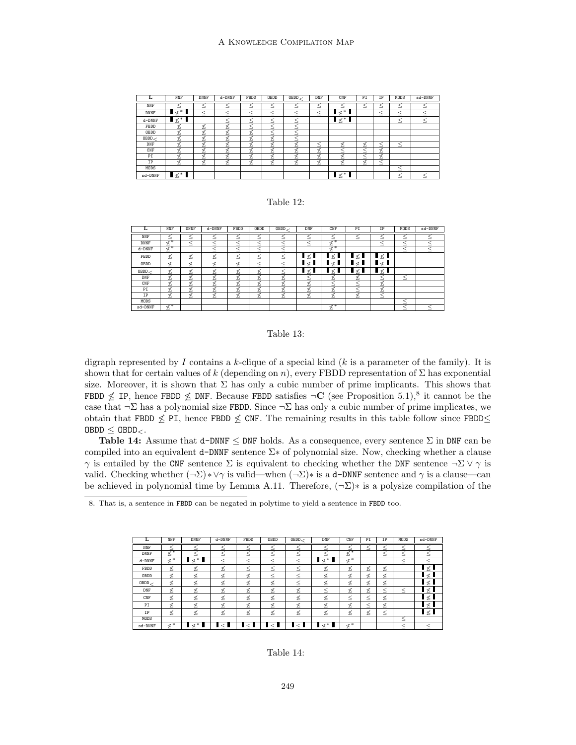## A Knowledge Compilation Map

| L            | NNF                    | DNNF        | d-DNNF | FBDD         | OBDD         | OBDD.   | DNF          | CNF          | PI  | IP           | MODS            | sd-DNNF |
|--------------|------------------------|-------------|--------|--------------|--------------|---------|--------------|--------------|-----|--------------|-----------------|---------|
| NNF          |                        |             | _      | $-$          | -            | -       | -            |              | $-$ | $-$          | -               |         |
| <b>DNNF</b>  | ∗<br>≮                 | ≺<br>-      | -      | $\,<$<br>-   | $\,<\,$<br>- | <<br>-  | $\,<\,$<br>- | $\not\leq^*$ |     | $\,<\,$<br>- | $\,<\,$<br>-    | $-$     |
| $d$ -DNN $F$ | $\cdot$ $\not\leq$ $*$ |             | –      | $\,<$<br>$-$ | $\,<\,$<br>- | ≺<br>_  |              | $\not\leq^*$ |     |              | ≺<br>-          | $-$     |
| FBDD         |                        | c<br>2<br>_ | ⋍      | $-$          | –            | _       |              |              |     |              |                 |         |
| OBDD         |                        | n<br>2.     |        | 乏            | –            | -<br>_  |              |              |     |              |                 |         |
| OBDD         |                        | 又           | c      | 乏            | ≰            | _       |              |              |     |              |                 |         |
| DNF          | ×                      | n<br>2.     |        | 乏            | ≰            | c<br>▵  | -            |              | 冬   | ≺<br>$-$     | –               |         |
| CNF          |                        | n<br>∼.     |        | 乏            | ≰            | ∼       | 乥            |              | ≺   | Ł            |                 |         |
| PI           |                        | x           |        | 孓            | Ł            | c<br>∼. | Ł            | 夂            | ↖   | ≰            |                 |         |
| IP           |                        | Ł           |        | Ł            | Ł            | ≰       | Ł            | ≰            | Ł   | ≺<br>-       |                 |         |
| MODS         |                        |             |        |              |              |         |              |              |     |              | ↖<br>-          |         |
| sd-DNNF      | $-2$                   |             |        |              |              |         |              | $\not\leq^*$ |     |              | $\tilde{}$<br>_ |         |

## Table 12:

| L            | NNF                        | DNNF   | d-DNNF       | FBDD         | OBDD         | OBDD.      | DNF     | CNF                        | PI      | ΙP             | MODS       | sd-DNNF |
|--------------|----------------------------|--------|--------------|--------------|--------------|------------|---------|----------------------------|---------|----------------|------------|---------|
| NNF          | –                          | –      | _            | –            | –            | -          | –       | -                          | –       | -              |            |         |
| <b>DNNF</b>  | $\overline{z}^*$           | <<br>- | –            | –            | –            | _          | -       | 纟                          |         | ≺<br>-         | ╮<br>_     |         |
| $d$ -DNN $F$ | $\overline{\mathcal{L}}^*$ |        | ∼<br>-       | -            | -            | $\,<$<br>- |         | $\overline{\mathcal{L}}^*$ |         |                | $\,<$<br>- | -       |
| FBDD         | 乏                          | 乏      | Ł            | $\,<\,$<br>- | $\,<\,$<br>- | ≺<br>-     | $\prec$ | $\prec$                    | $\prec$ | $\n  1\n$<br>Ш |            |         |
| OBDD         | ≰                          | Ł      | Ł            | Ł            | $\,<$<br>$-$ | $\,<$<br>– | ≮       | ヌ                          | ⊀       | $\leq$ 1       |            |         |
| OBDD         | ≰                          | ≰      | x<br>⋍       | ≰            | Ł            | –          | 乏       | ・えい                        | ⊀       | ⊻ ⊾<br>п       |            |         |
| DNF          | 纟                          | Ł      | s<br>λ.      | 纟            | 乏            | Ł          | _       | 乏                          | Ł       | ≺<br>-         | $\,<$<br>- |         |
| CNF          | 乏                          | 乥      | A<br>∼.<br>⋍ | Ł            | Ł            | ≰          | 乏       | $-$                        | ↖<br>-  | 乏              |            |         |
| PI           | 乏                          | Ł      | é.           | ≰            | Ł            | Ł          | 乥       | 乏                          | -       | ≰              |            |         |
| IP           | 乏                          | 乏      | Ł            | ≰            | ≰            | 乏          | 乏       | 乏                          | Ł       | ≺<br>--        |            |         |
| MODS         |                            |        |              |              |              |            |         |                            |         |                | –          |         |
| sd-DNNF      | $\not\leq^*$               |        |              |              |              |            |         | $\n  z*\n$                 |         |                | ≺<br>_     |         |



digraph represented by I contains a k-clique of a special kind  $(k$  is a parameter of the family). It is shown that for certain values of k (depending on n), every FBDD representation of  $\Sigma$  has exponential size. Moreover, it is shown that  $\Sigma$  has only a cubic number of prime implicants. This shows that FBDD  $\leq$  IP, hence FBDD  $\leq$  DNF. Because FBDD satisfies  $\neg \mathbf{C}$  (see Proposition 5.1),<sup>8</sup> it cannot be the case that  $\neg \Sigma$  has a polynomial size FBDD. Since  $\neg \Sigma$  has only a cubic number of prime implicates, we obtain that FBDD  $\leq$  PI, hence FBDD  $\leq$  CNF. The remaining results in this table follow since FBDD $\leq$  $0BDD \leq 0BDD$ <sub><</sub>.

**Table 14:** Assume that d-DNNF  $\leq$  DNF holds. As a consequence, every sentence  $\Sigma$  in DNF can be compiled into an equivalent d-DNNF sentence Σ∗ of polynomial size. Now, checking whether a clause  $\gamma$  is entailed by the CNF sentence  $\Sigma$  is equivalent to checking whether the DNF sentence  $\neg\Sigma \vee \gamma$  is valid. Checking whether  $(\neg \Sigma) * \vee \gamma$  is valid—when  $(\neg \Sigma) *$  is a d-DNNF sentence and  $\gamma$  is a clause—can be achieved in polynomial time by Lemma A.11. Therefore,  $(\neg \Sigma)$ <sup>\*</sup> is a polysize compilation of the

<sup>8.</sup> That is, a sentence in FBDD can be negated in polytime to yield a sentence in FBDD too.

| L            | NNF          | <b>DNNF</b> | $d$ -DNN $F$ | FBDD     | OBDD         | OBDD       | DNF                  | CNF                        | PI         | IP            | MODS        | sd-DNNF |
|--------------|--------------|-------------|--------------|----------|--------------|------------|----------------------|----------------------------|------------|---------------|-------------|---------|
| NNF          | -            | _           | --           | -        | -            | -          | _                    | -                          | --         | _             | -           | _       |
| <b>DNNF</b>  | ∢*           |             |              | <<br>–   | ≺<br>–       | _          |                      | $\overline{\mathcal{L}}^*$ |            | $\leq$<br>$-$ | ≺<br>–      |         |
| $d$ -DNN $F$ | $\not\leq^*$ | $\chi^*$    | ≺            | ≺<br>$-$ | ≺<br>$-$     | ≺          | $\mathcal{K}^*$      | $\n  z*\n$                 |            |               | ≺<br>$-$    |         |
| FBDD         | Ł            | Ł           | 乏            | ≺<br>-   | $\,<$<br>-   | ≺<br>_     | Ł                    | 乥                          | Ł          | ≰             |             | x       |
| OBDD         | ≰            | 乥           | 乥            | 乏        | $\,<\,$<br>- | ≺<br>-     | Ł                    | Ł                          | Ł          | ≰             |             | 又       |
| OBDD         | Ł            | 乏           | 乏            | 乏        | Ł            | $\,<$<br>_ | 乥                    | ٤                          | ≰          | Ł             |             | ≮       |
| DNF          | Ł            | ٤           | 乏            | 乏        | Ł            | Ł          | $\,<$                | Ł                          | Ł          | $\,<$<br>_    | $\leq$<br>- | ≮       |
| CNF          | Ł            | 8           | 乏            | 乏        | Ł            | Ł          | ≰                    | ≺<br>-                     | ≺<br>--    | ≰             |             | ≮       |
| PI           | Ł            | 乥           | 乏            | <b>z</b> | ≰            | Ł          | ヌ                    | Ł                          | $\,<$<br>- | Ł             |             | メ       |
| IP           | Ł            | 乏           | ≰            | 乏        | ≰            | Ł          | ≰                    | Ł                          | Ł          | $\,<\,$<br>-  |             | 乏       |
| MODS         |              |             |              |          |              |            |                      |                            |            |               | ≺<br>-      |         |
| sd-DNNF      | $\not\leq^*$ | $-7$        | $\leq$       | $\leq$ 1 | $\,<\,$      | $\prec$    | $\cdot$ $\nless$ $*$ | $\not\leq^*$               |            |               | ≺<br>-      | $\prec$ |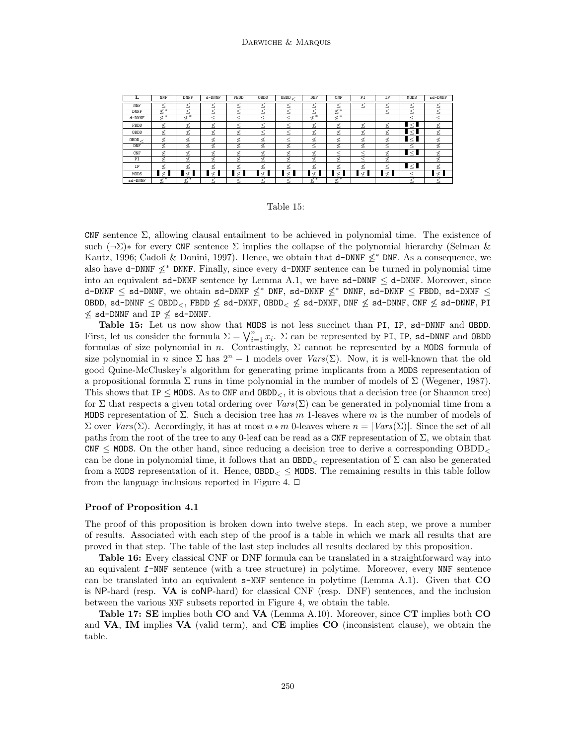|              | NNF                        | <b>DNNF</b>                | $d$ -DNN $F$                   | FBDD  | OBDD    | OBDD   | DNF                             | CNF                 | PI             | IP     | MODS                         | sd-DNNF |
|--------------|----------------------------|----------------------------|--------------------------------|-------|---------|--------|---------------------------------|---------------------|----------------|--------|------------------------------|---------|
| <b>NNF</b>   |                            |                            |                                | -     | -       |        | -                               |                     | –              |        |                              |         |
| DNNF         | ≮                          |                            | -                              | $-$   | $-$     |        |                                 |                     |                |        |                              |         |
| $d$ -DNN $F$ | $\overline{\mathscr{L}}^*$ | $\overline{\mathscr{A}}$ * | -                              | $-$   | $-$     | _      | $\overline{\mathscr{A}}$ *<br>∼ | $\overline{a}$<br>~ |                |        |                              |         |
| FBDD         | Ł                          |                            | ⊿<br>⊁                         | $-$   | $-$     | _      | s<br>2                          | n                   | Ł              | Ł      | $\cdot < \cdot$              |         |
| OBDD         | 8                          |                            | 2.                             | ń     | $-$     | ∼<br>– |                                 |                     | ∽              | ⊿      | $\leq$ 1                     |         |
| OBDD         |                            |                            |                                | s     | ◢       |        |                                 |                     | x              | x      | $\leq$ 1                     |         |
| DNF          | 夂                          |                            | т.                             | d     | ó       |        | -                               | ⊿                   | d              | $-$    |                              |         |
| CNF          | 又                          |                            | ∽<br>2.                        | c     | _       |        |                                 | -                   | $-$            | x<br>⋍ | $\leq$ .                     |         |
| PI           | ∼.                         |                            | 2                              | s     | z.<br>2 |        | c                               | ×.<br>λ.            | –              | Ł      |                              |         |
| IP           |                            |                            | 2.                             | ó     |         |        |                                 | ×.                  | ó              |        | $\mathsf{l} \leq \mathsf{l}$ |         |
| MODS         | ∎ ≰                        | l ≰ l                      | $\mathbf{I} \times \mathbf{I}$ | l ≰ l | ╹∠╹     | ╹≰╹    | ∎ ≰ ∎                           | ∎≰∎                 | $\blacksquare$ | l ≤ l  |                              | I≮I     |
| sd-DNNF      | $\overline{\mathscr{K}}^*$ | $\overline{d}$ *           |                                |       |         |        | $\pi^*$                         | $\pi^*$             |                |        |                              |         |

#### Table 15:

CNF sentence  $\Sigma$ , allowing clausal entailment to be achieved in polynomial time. The existence of such  $(\neg \Sigma)$ <sup>\*</sup> for every CNF sentence  $\Sigma$  implies the collapse of the polynomial hierarchy (Selman & Kautz, 1996; Cadoli & Donini, 1997). Hence, we obtain that d-DNNF  $\nleq^*$  DNF. As a consequence, we also have d-DNNF  $\leq$ <sup>∗</sup> DNNF. Finally, since every d-DNNF sentence can be turned in polynomial time into an equivalent  $sd$ -DNNF sentence by Lemma A.1, we have  $sd$ -DNNF  $\leq$  d-DNNF. Moreover, since d-DNNF  $\leq$  sd-DNNF, we obtain sd-DNNF  $\nleq^*$  DNF, sd-DNNF  $\leq^*$  DNNF, sd-DNNF  $\leq$  FBDD, sd-DNNF  $\leq$ OBDD, sd-DNNF  $\leq$  OBDD $_{<}$ , FBDD  $\nleq$  sd-DNNF, OBDD $_{<} \nleq$  sd-DNNF, DNF  $\nleq$  sd-DNNF, CNF  $\nleq$  sd-DNNF, PI  $\measuredangle$  sd-DNNF and IP  $\measuredangle$  sd-DNNF.

Table 15: Let us now show that MODS is not less succinct than PI, IP, sd-DNNF and OBDD. **First, let us consider the formula**  $\Sigma = \bigvee_{i=1}^{n} x_i$ .  $\Sigma$  can be represented by PI, IP, sd-DNNF and OBDD First, let us consider the formula  $\Sigma = \bigvee_{i=1}^{n} x_i$ .  $\Sigma$  can be represented by PI, IP, sd-DNNF and OBDD formulas of size polynomial in n. Contrastingly,  $\Sigma$  cannot be represented by a MODS formula of size polynomial in n since  $\Sigma$  has  $2^{n} - 1$  models over  $Vars(\Sigma)$ . Now, it is well-known that the old good Quine-McCluskey's algorithm for generating prime implicants from a MODS representation of a propositional formula  $\Sigma$  runs in time polynomial in the number of models of  $\Sigma$  (Wegener, 1987). This shows that  $IP \leq$  MODS. As to CNF and OBDD<sub> $\lt$ </sub>, it is obvious that a decision tree (or Shannon tree) for  $\Sigma$  that respects a given total ordering over  $Vars(\Sigma)$  can be generated in polynomial time from a MODS representation of  $\Sigma$ . Such a decision tree has m 1-leaves where m is the number of models of Σ over  $Vars(\Sigma)$ . Accordingly, it has at most  $n * m$  0-leaves where  $n = |Vars(\Sigma)|$ . Since the set of all paths from the root of the tree to any 0-leaf can be read as a CNF representation of  $\Sigma$ , we obtain that CNF  $\leq$  MODS. On the other hand, since reducing a decision tree to derive a corresponding OBDD<sub> $\leq$ </sub> can be done in polynomial time, it follows that an  $OBDD<sub>></sub>$  representation of  $\Sigma$  can also be generated from a MODS representation of it. Hence,  $0BD < \leq MODS$ . The remaining results in this table follow from the language inclusions reported in Figure 4.  $\Box$ 

#### Proof of Proposition 4.1

The proof of this proposition is broken down into twelve steps. In each step, we prove a number of results. Associated with each step of the proof is a table in which we mark all results that are proved in that step. The table of the last step includes all results declared by this proposition.

Table 16: Every classical CNF or DNF formula can be translated in a straightforward way into an equivalent f-NNF sentence (with a tree structure) in polytime. Moreover, every NNF sentence can be translated into an equivalent  $s$ -NNF sentence in polytime (Lemma A.1). Given that  $CO$ is NP-hard (resp. VA is coNP-hard) for classical CNF (resp. DNF) sentences, and the inclusion between the various NNF subsets reported in Figure 4, we obtain the table.

Table 17: SE implies both CO and VA (Lemma A.10). Moreover, since CT implies both CO and **VA, IM** implies  $\mathbf{VA}$  (valid term), and  $\mathbf{CE}$  implies  $\mathbf{CO}$  (inconsistent clause), we obtain the table.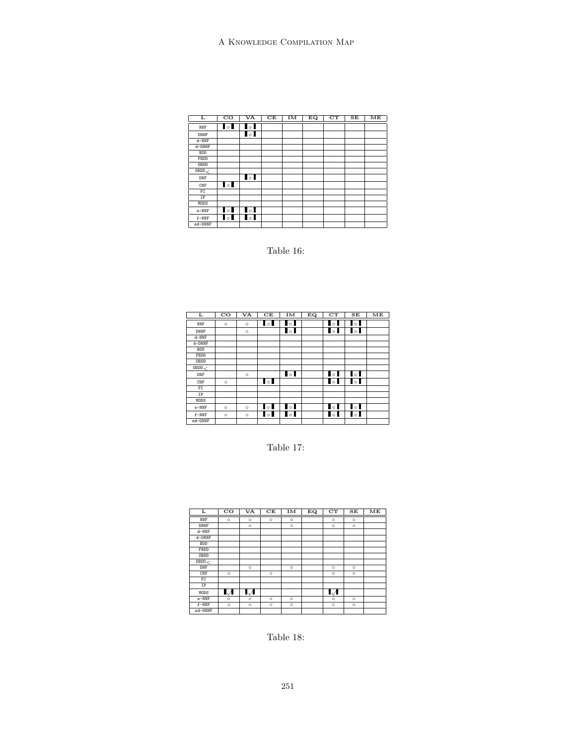A Knowledge Compilation Map

| L            | $\overline{\mathrm{co}}$      | VA                            | CE | IM | EQ | CT | SE | ME |
|--------------|-------------------------------|-------------------------------|----|----|----|----|----|----|
| NNF          | $\blacksquare$                | $\blacksquare$                |    |    |    |    |    |    |
| <b>DNNF</b>  |                               | $\blacksquare$                |    |    |    |    |    |    |
| $d-NNF$      |                               |                               |    |    |    |    |    |    |
| $d$ -DNN $F$ |                               |                               |    |    |    |    |    |    |
| <b>BDD</b>   |                               |                               |    |    |    |    |    |    |
| FBDD         |                               |                               |    |    |    |    |    |    |
| OBDD         |                               |                               |    |    |    |    |    |    |
| $0$ BDD $<$  |                               |                               |    |    |    |    |    |    |
| DNF          |                               | $\blacksquare$                |    |    |    |    |    |    |
| CNF          | $\overline{\phantom{a}}\circ$ |                               |    |    |    |    |    |    |
| PI           |                               |                               |    |    |    |    |    |    |
| IP           |                               |                               |    |    |    |    |    |    |
| MODS         |                               |                               |    |    |    |    |    |    |
| $s$ -NN $F$  | $\overline{\phantom{a}}\circ$ | $\overline{\phantom{a}}\circ$ |    |    |    |    |    |    |
| $f$ -NN $F$  | $\overline{\phantom{a}}\circ$ | $\blacksquare$                |    |    |    |    |    |    |
| sd-DNNF      |                               |                               |    |    |    |    |    |    |

Table 16:

| г              | $\overline{\rm co}$ | $\overline{\mathsf{v}\mathsf{A}}$ | CЕ                            | IM                            | EQ | $_{\rm CT}$                   | SE                       | ME |
|----------------|---------------------|-----------------------------------|-------------------------------|-------------------------------|----|-------------------------------|--------------------------|----|
| NNF            | $\circ$             | $\circ$                           | $\blacksquare$                | $\circ$                       |    | $\mathbf{I}_{\circ}$          | $\overline{\phantom{a}}$ |    |
| <b>DNNF</b>    |                     | $\circ$                           |                               | $\overline{\phantom{a}}\circ$ |    | $\mathbf{I} \circ \mathbf{I}$ | $\blacksquare$           |    |
| $d-NNF$        |                     |                                   |                               |                               |    |                               |                          |    |
| d-DNNF         |                     |                                   |                               |                               |    |                               |                          |    |
| <b>BDD</b>     |                     |                                   |                               |                               |    |                               |                          |    |
| FBDD           |                     |                                   |                               |                               |    |                               |                          |    |
| OBDD           |                     |                                   |                               |                               |    |                               |                          |    |
| $0$ BDD $\geq$ |                     |                                   |                               |                               |    |                               |                          |    |
| DNF            |                     | $\circ$                           |                               | $\circ$                       |    | $\mathbf{I} \circ$            | $\blacksquare$           |    |
| CNF            | $\circ$             |                                   | $\blacksquare$                |                               |    | $\overline{\phantom{a}}$      | $\blacksquare$           |    |
| PI             |                     |                                   |                               |                               |    |                               |                          |    |
| <b>IP</b>      |                     |                                   |                               |                               |    |                               |                          |    |
| MODS           |                     |                                   |                               |                               |    |                               |                          |    |
| $s$ -NNF       | $\circ$             | $\circ$                           | $\overline{\phantom{a}}\circ$ | $\blacksquare$                |    | $\mathbf{I}$ of               | $\blacksquare$           |    |
| $f$ -NNF       | $\circ$             | $\circ$                           | $\circ$                       | $\blacksquare$                |    | $\mathbf{I} \circ \mathbf{I}$ | $\blacksquare$           |    |
| sd-DNNF        |                     |                                   |                               |                               |    |                               |                          |    |

Table 17:

| L           | $\overline{\rm co}$ | $\overline{\mathsf{v}\mathsf{A}}$ | CE      | IM      | $\overline{E}Q$ | CT                        | SE      | ME |
|-------------|---------------------|-----------------------------------|---------|---------|-----------------|---------------------------|---------|----|
| NNF         | $\circ$             | $\circ$                           | $\circ$ | $\circ$ |                 | $\circ$                   | $\circ$ |    |
| <b>DNNF</b> |                     | $\circ$                           |         | $\circ$ |                 | $\circ$                   | $\circ$ |    |
| $d-NNF$     |                     |                                   |         |         |                 |                           |         |    |
| d-DNNF      |                     |                                   |         |         |                 |                           |         |    |
| <b>BDD</b>  |                     |                                   |         |         |                 |                           |         |    |
| FBDD        |                     |                                   |         |         |                 |                           |         |    |
| OBDD        |                     |                                   |         |         |                 |                           |         |    |
| $0$ BDD $<$ |                     |                                   |         |         |                 |                           |         |    |
| DNF         |                     | $\circ$                           |         | $\circ$ |                 | $\circ$                   | $\circ$ |    |
| CNF         | $\circ$             |                                   | $\circ$ |         |                 | $\circ$                   | $\circ$ |    |
| PI          |                     |                                   |         |         |                 |                           |         |    |
| <b>IP</b>   |                     |                                   |         |         |                 |                           |         |    |
| MODS        | $\mathbf{L}$        | IJ                                |         |         |                 | $\mathsf{L}_{\mathsf{V}}$ |         |    |
| $s-NNF$     | $\circ$             | $\circ$                           | $\circ$ | $\circ$ |                 | $\circ$                   | $\circ$ |    |
| $f$ -NN $F$ | $\circ$             | $\circ$                           | $\circ$ | $\circ$ |                 | $\circ$                   | $\circ$ |    |
| sd-DNNF     |                     |                                   |         |         |                 |                           |         |    |

Table 18: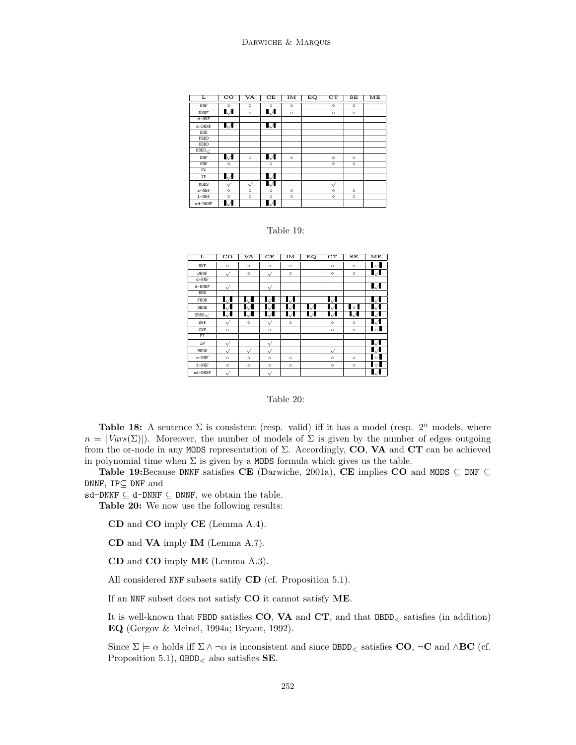| г            | ਟ੦           | VA           | CE           | IM      | $\overline{E}Q$ | $_{\rm CT}$  | SE      | ME |
|--------------|--------------|--------------|--------------|---------|-----------------|--------------|---------|----|
| <b>NNF</b>   | $\circ$      | $\circ$      | $\circ$      | $\circ$ |                 | $\circ$      | $\circ$ |    |
| <b>DNNF</b>  | $\mathbf{L}$ | $\circ$      | IД           | $\circ$ |                 | $\circ$      | $\circ$ |    |
| $d-NNF$      |              |              |              |         |                 |              |         |    |
| $d$ -DNN $F$ | IД           |              | IД           |         |                 |              |         |    |
| <b>BDD</b>   |              |              |              |         |                 |              |         |    |
| FBDD         |              |              |              |         |                 |              |         |    |
| OBDD         |              |              |              |         |                 |              |         |    |
| OBDD <       |              |              |              |         |                 |              |         |    |
| DNF          | IJ           | $\circ$      | IД           | $\circ$ |                 | $\circ$      | $\circ$ |    |
| CNF          | $\circ$      |              | $\circ$      |         |                 | $\circ$      | $\circ$ |    |
| PI           |              |              |              |         |                 |              |         |    |
| IP           | $\mathbf{L}$ |              | IJ           |         |                 |              |         |    |
| MODS         | $\checkmark$ | $\checkmark$ | <b>I</b> . ⁄ |         |                 | $\checkmark$ |         |    |
| s-NNF        | $\circ$      | $\circ$      | $\circ$      | $\circ$ |                 | $\circ$      | $\circ$ |    |
| $f$ -NN $F$  | $\circ$      | $\circ$      | $\circ$      | $\circ$ |                 | $\circ$      | $\circ$ |    |
| sd-DNNF      |              |              | -√⊾          |         |                 |              |         |    |

#### Table 19:

| L           | $_{\rm CO}$  | VA           | CE            | IM      | EQ           | CT                       | SE      | ME                            |
|-------------|--------------|--------------|---------------|---------|--------------|--------------------------|---------|-------------------------------|
| NNF         | $\circ$      | $\circ$      | $\circ$       | $\circ$ |              | $\circ$                  | $\circ$ | l o                           |
| <b>DNNF</b> | $\checkmark$ | $\circ$      | $\checkmark$  | $\circ$ |              | $\circ$                  | $\circ$ | L√                            |
| $d-NNF$     |              |              |               |         |              |                          |         |                               |
| d-DNNF      | $\checkmark$ |              | $\checkmark$  |         |              |                          |         | L√                            |
| <b>BDD</b>  |              |              |               |         |              |                          |         |                               |
| FBDD        | ∪            | $\mathbf{L}$ | $\mathcal{A}$ | ∎√      |              | $\mathsf{L} \mathcal{A}$ |         | ▮√                            |
| OBDD        | ∪ا∕          | $\mathbf{L}$ | ▮◡            | ╹╱      | $\mathbf{L}$ | ∎√                       | $\circ$ |                               |
| $0$ BDD $<$ | ℳ            | ∎√           | ╹             | !√      | ∎√           | $\mathsf{L}\mathcal{A}$  | ╹       |                               |
| DNF         | $\checkmark$ | $\circ$      | $\checkmark$  | $\circ$ |              | $\circ$                  | $\circ$ | $\mathcal{A}$                 |
| CNF         | $\circ$      |              | $\circ$       |         |              | $\circ$                  | $\circ$ | $\overline{\phantom{a}}\circ$ |
| PI          |              |              |               |         |              |                          |         |                               |
| IP          | $\checkmark$ |              | $\checkmark$  |         |              |                          |         |                               |
| MODS        | $\checkmark$ | $\checkmark$ | $\sqrt{}$     |         |              | $\checkmark$             |         |                               |
| s-NNF       | $\circ$      | $\circ$      | $\circ$       | $\circ$ |              | $\circ$                  | $\circ$ |                               |
| $f$ -NN $F$ | $\circ$      | $\circ$      | $\circ$       | $\circ$ |              | $\circ$                  | $\circ$ | ∎ o                           |
| sd-DNNF     | $\checkmark$ |              | $\sqrt{}$     |         |              |                          |         |                               |

#### Table 20:

Table 18: A sentence  $\Sigma$  is consistent (resp. valid) iff it has a model (resp.  $2^n$  models, where  $n = |Vars(\Sigma)|$ . Moreover, the number of models of  $\Sigma$  is given by the number of edges outgoing from the or-node in any MODS representation of  $\Sigma$ . Accordingly, CO, VA and CT can be achieved in polynomial time when  $\Sigma$  is given by a MODS formula which gives us the table.

Table 19:Because DNNF satisfies CE (Darwiche, 2001a), CE implies CO and MODS  $\subseteq$  DNF  $\subseteq$ DNNF, IP⊆ DNF and

sd-DNNF  $\subseteq$  d-DNNF  $\subseteq$  DNNF, we obtain the table.

Table 20: We now use the following results:

CD and CO imply CE (Lemma A.4).

CD and VA imply IM (Lemma A.7).

CD and CO imply ME (Lemma A.3).

All considered NNF subsets satify CD (cf. Proposition 5.1).

If an NNF subset does not satisfy CO it cannot satisfy ME.

It is well-known that FBDD satisfies  $CO$ , VA and  $CT$ , and that  $OBDD_{< S}$  satisfies (in addition) EQ (Gergov & Meinel, 1994a; Bryant, 1992).

Since  $\Sigma \models \alpha$  holds iff  $\Sigma \land \neg \alpha$  is inconsistent and since OBDD<sub><</sub> satisfies **CO**,  $\neg$ **C** and  $\land$ **BC** (cf. Proposition 5.1),  $OBDD<sub>0</sub>$  also satisfies **SE**.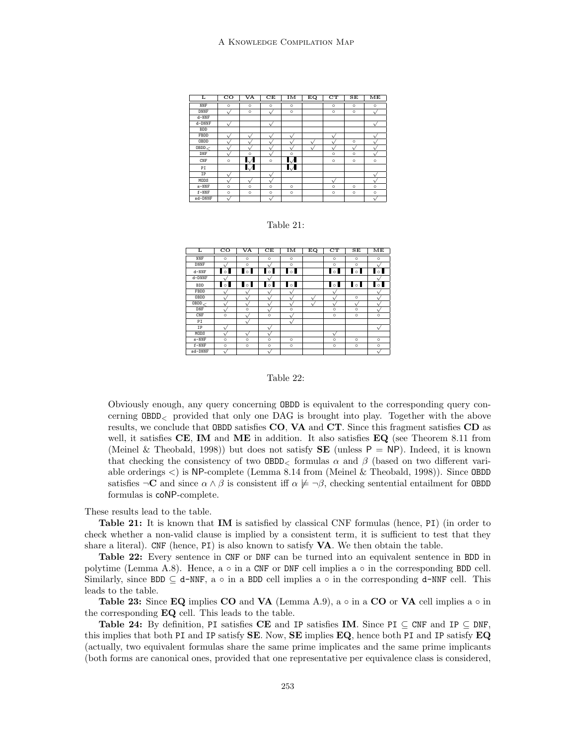| L                          | $_{\rm CO}$  | $\overline{\mathsf{v}\mathsf{A}}$ | CЕ           | IM        | EQ | CT           | SE           | ME        |
|----------------------------|--------------|-----------------------------------|--------------|-----------|----|--------------|--------------|-----------|
| NNF                        | $\circ$      | $\circ$                           | $\circ$      | $\circ$   |    | $\circ$      | $\circ$      | $\circ$   |
| <b>DNNF</b>                | $\checkmark$ | $\circ$                           | $\checkmark$ | $\circ$   |    | $\circ$      | $\circ$      | $\sqrt{}$ |
| $d-NNF$                    |              |                                   |              |           |    |              |              |           |
| $d$ -DNN $F$               | $\checkmark$ |                                   | $\checkmark$ |           |    |              |              | $\sqrt{}$ |
| <b>BDD</b>                 |              |                                   |              |           |    |              |              |           |
| FBDD                       |              | $\sqrt{ }$                        |              | $\sqrt{}$ |    | $\checkmark$ |              |           |
| OBDD                       |              | x                                 |              | ÷         | x  | x            | $\circ$      | ÷         |
| $\overline{\texttt{OBDD}}$ |              | $\sqrt{ }$                        |              | v         | x  | $\sqrt{}$    | $\checkmark$ | x         |
| DNF                        |              | $\circ$                           |              | $\circ$   |    | $\circ$      | $\circ$      | v         |
| CNF                        | $\circ$      | $\mathbf{L}$                      | $\circ$      | ▮√        |    | $\circ$      | $\circ$      | $\circ$   |
| PI                         |              | !√                                |              | ╹         |    |              |              |           |
| <b>IP</b>                  |              |                                   | $\sqrt{}$    |           |    |              |              | x         |
| MODS                       |              | $\sqrt{ }$                        | $\check{ }$  |           |    | $\checkmark$ |              | $\sqrt{}$ |
| s-NNF                      | $\circ$      | $\circ$                           | $\circ$      | $\circ$   |    | $\circ$      | $\circ$      | $\circ$   |
| $f$ -NNF                   | $\circ$      | $\circ$                           | $\circ$      | $\circ$   |    | $\circ$      | $\circ$      | $\circ$   |
| sd-DNNF                    |              |                                   | $\sqrt{}$    |           |    |              |              | $\sqrt{}$ |

Table 21:

| L             | $\overline{\rm co}$ | $\overline{\mathsf{v}\mathsf{A}}$ | CE           | IM                            | $\overline{E}Q$ | $_{\rm CT}$                   | SE           | ME         |
|---------------|---------------------|-----------------------------------|--------------|-------------------------------|-----------------|-------------------------------|--------------|------------|
|               |                     |                                   |              |                               |                 |                               |              |            |
| NNF           | $\circ$             | $\circ$                           | $\circ$      | $\circ$                       |                 | $\circ$                       | $\circ$      | $\circ$    |
| <b>DNNF</b>   |                     | $\circ$                           |              | $\circ$                       |                 | $\circ$                       | $\circ$      |            |
| $d-NNF$       | $\circ$             | $\overline{\phantom{a}}$          | $\circ$      | $\mathsf{I} \circ \mathsf{I}$ |                 | $\circ$                       | ∎∘           | $\circ$    |
| $d$ -DNN $F$  |                     |                                   |              |                               |                 |                               |              |            |
| <b>BDD</b>    | $\Omega$            | $\circ$                           | $\circ$      | $\circ$                       |                 | $\overline{\phantom{a}}\circ$ | ∎∘           | $\circ$    |
| FBDD          |                     |                                   |              |                               |                 | r                             |              |            |
| OBDD          | $\sqrt{}$           | $\checkmark$                      | $\sqrt{}$    | $\sqrt{}$                     | $\checkmark$    | $\checkmark$                  | $\circ$      | $\sqrt{ }$ |
| $0$ BDD $\lt$ |                     |                                   | $\sqrt{}$    | $\checkmark$                  | $\checkmark$    |                               | $\checkmark$ |            |
| DNF           | $\sqrt{}$           | $\circ$                           | $\checkmark$ | $\circ$                       |                 | $\circ$                       | $\circ$      |            |
| CNF           | $\Omega$            |                                   | $\circ$      | $\sqrt{2}$                    |                 | $\circ$                       | $\circ$      | $\circ$    |
| PI            |                     |                                   |              | $\check{ }$                   |                 |                               |              |            |
| IP            |                     |                                   | $\sqrt{}$    |                               |                 |                               |              | $\sqrt{ }$ |
| MODS          | $\sqrt{}$           | $\checkmark$                      | $\sqrt{}$    |                               |                 | $\checkmark$                  |              |            |
| s-NNF         | $\circ$             | $\circ$                           | $\circ$      | $\circ$                       |                 | $\circ$                       | $\circ$      | $\circ$    |
| $f$ -NN $F$   | $\circ$             | $\circ$                           | $\circ$      | $\circ$                       |                 | $\circ$                       | $\circ$      | $\circ$    |
| sd-DNNF       |                     |                                   | $\checkmark$ |                               |                 |                               |              | $\sqrt{ }$ |

#### Table 22:

Obviously enough, any query concerning OBDD is equivalent to the corresponding query concerning OBDD<sup>&</sup>lt; provided that only one DAG is brought into play. Together with the above results, we conclude that OBDD satisfies CO, VA and CT. Since this fragment satisfies CD as well, it satisfies  $CE$ , IM and  $ME$  in addition. It also satisfies  $EQ$  (see Theorem 8.11 from (Meinel & Theobald, 1998)) but does not satisfy  $SE$  (unless  $P = NP$ ). Indeed, it is known that checking the consistency of two  $\texttt{OBDD}_{\leq}$  formulas  $\alpha$  and  $\beta$  (based on two different variable orderings <) is NP-complete (Lemma 8.14 from (Meinel & Theobald, 1998)). Since OBDD satisfies  $\neg$ **C** and since  $\alpha \wedge \beta$  is consistent iff  $\alpha \not\models \neg \beta$ , checking sentential entailment for **OBDD** formulas is coNP-complete.

These results lead to the table.

Table 21: It is known that IM is satisfied by classical CNF formulas (hence, PI) (in order to check whether a non-valid clause is implied by a consistent term, it is sufficient to test that they share a literal). CNF (hence,  $PI$ ) is also known to satisfy  $VA$ . We then obtain the table.

Table 22: Every sentence in CNF or DNF can be turned into an equivalent sentence in BDD in polytime (Lemma A.8). Hence, a  $\circ$  in a CNF or DNF cell implies a  $\circ$  in the corresponding BDD cell. Similarly, since BDD  $\subseteq$  d-NNF, a  $\circ$  in a BDD cell implies a  $\circ$  in the corresponding d-NNF cell. This leads to the table.

Table 23: Since EQ implies CO and VA (Lemma A.9), a  $\circ$  in a CO or VA cell implies a  $\circ$  in the corresponding EQ cell. This leads to the table.

Table 24: By definition, PI satisfies CE and IP satisfies IM. Since PI  $\subseteq$  CNF and IP  $\subseteq$  DNF, this implies that both PI and IP satisfy  $SE$ . Now,  $SE$  implies  $EQ$ , hence both PI and IP satisfy  $EQ$ (actually, two equivalent formulas share the same prime implicates and the same prime implicants (both forms are canonical ones, provided that one representative per equivalence class is considered,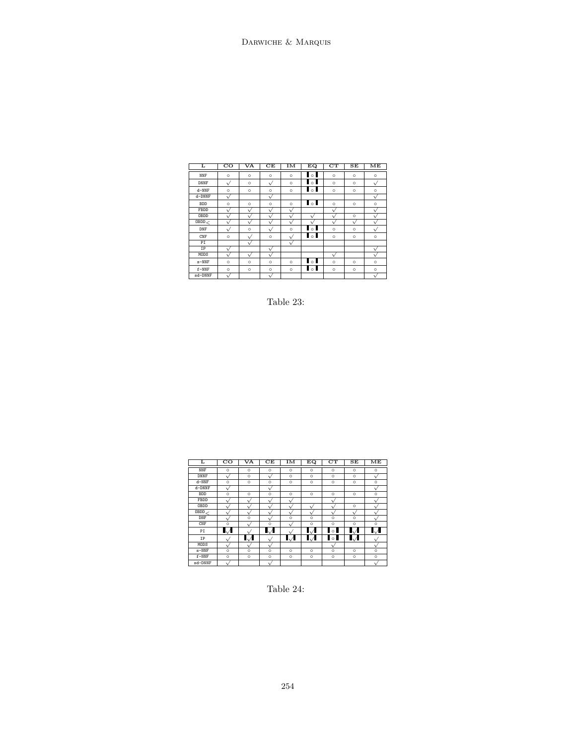| L           | $\overline{co}$ | $\overline{\mathsf{v}\mathsf{A}}$ | CE           | IM           | EQ                            | $_{\rm CT}$  | SE           | ME           |
|-------------|-----------------|-----------------------------------|--------------|--------------|-------------------------------|--------------|--------------|--------------|
| NNF         | $\circ$         | $\circ$                           | $\circ$      | $\circ$      | ∎ ∘                           | $\circ$      | $\circ$      | $\circ$      |
| DNNF        | $\checkmark$    | $\circ$                           | $\checkmark$ | $\circ$      | ∎∘                            | $\circ$      | $\circ$      | $\checkmark$ |
| $d-NNF$     | $\circ$         | $\circ$                           | $\circ$      | $\circ$      | $\blacksquare$                | $\circ$      | $\circ$      | $\circ$      |
| d-DNNF      | $\checkmark$    |                                   | $\checkmark$ |              |                               |              |              | $\checkmark$ |
| <b>BDD</b>  | $\circ$         | $\circ$                           | $\circ$      | $\circ$      | $\blacksquare$                | $\circ$      | $\circ$      | $\circ$      |
| FBDD        | $\checkmark$    | $\checkmark$                      | $\checkmark$ | $\checkmark$ |                               | $\checkmark$ |              | $\checkmark$ |
| OBDD        | $\checkmark$    | $\sqrt{}$                         | $\checkmark$ | $\checkmark$ | $\checkmark$                  | $\sqrt{2}$   | $\circ$      | $\checkmark$ |
| $0$ BDD $<$ | $\checkmark$    | $\checkmark$                      | $\checkmark$ | $\checkmark$ | s.                            | $\sqrt{2}$   | $\checkmark$ | $\checkmark$ |
| DNF         | $\checkmark$    | $\circ$                           | $\checkmark$ | $\circ$      | $\circ$                       | $\circ$      | $\circ$      | $\checkmark$ |
| CNF         | $\circ$         | $\checkmark$                      | $\circ$      | $\checkmark$ | $\blacksquare$                | $\circ$      | $\circ$      | $\circ$      |
| PI          |                 | $\sqrt{}$                         |              | $\checkmark$ |                               |              |              |              |
| IP          |                 |                                   | $\checkmark$ |              |                               |              |              | $\checkmark$ |
| MODS        | $\checkmark$    | $\checkmark$                      | $\checkmark$ |              |                               | $\checkmark$ |              | $\checkmark$ |
| $s$ -NNF    | $\circ$         | $\circ$                           | $\circ$      | $\circ$      | $\overline{\phantom{a}}\circ$ | $\circ$      | $\circ$      | $\circ$      |
| $f$ -NN $F$ | $\circ$         | $\circ$                           | $\circ$      | $\circ$      | $\blacksquare$                | $\circ$      | $\circ$      | $\circ$      |
| sd-DNNF     | $\sqrt{}$       |                                   | $\sqrt{}$    |              |                               |              |              | $\sqrt{}$    |

Table 23:

| L           | $_{\rm CO}$  | VA           | CЕ           | IM           | EQ            | CT             | SE           | MЕ           |
|-------------|--------------|--------------|--------------|--------------|---------------|----------------|--------------|--------------|
| NNF         | $\Omega$     | $\Omega$     | $\circ$      | $\circ$      | $\Omega$      | $\circ$        | $\Omega$     | $\circ$      |
| <b>DNNF</b> | $\checkmark$ | $\Omega$     |              | $\Omega$     | $\Omega$      | $\circ$        | $\circ$      | $\sqrt{}$    |
| $d-NNF$     | $\Omega$     | $\Omega$     | $\Omega$     | $\circ$      | $\circ$       | $\circ$        | $\circ$      | $\circ$      |
| d-DNNF      | $\checkmark$ |              | $\checkmark$ |              |               |                |              | $\checkmark$ |
| <b>BDD</b>  | $\circ$      | $\circ$      | $\circ$      | $\Omega$     | $\circ$       | $\circ$        | $\circ$      | $\circ$      |
| FBDD        | $\checkmark$ | $\checkmark$ | $\checkmark$ | $\checkmark$ |               | $\sqrt{ }$     |              | $\checkmark$ |
| OBDD        | $\checkmark$ | $\sqrt{}$    | $\checkmark$ | $\checkmark$ | $\checkmark$  | $\sqrt{ }$     | $\circ$      | $\sqrt{}$    |
| OBDD        | $\checkmark$ | v            | $\checkmark$ | $\checkmark$ | $\checkmark$  | $\checkmark$   | $\checkmark$ | $\checkmark$ |
| DNF         | $\checkmark$ | $\circ$      | $\sqrt{}$    | $\Omega$     | $\circ$       | $\circ$        | $\circ$      | $\sqrt{}$    |
| CNF         | $\circ$      |              | $\Omega$     | $\sqrt{}$    | $\circ$       | $\circ$        | $\circ$      | $\circ$      |
| PI          | $\mathbf{L}$ |              | $\mathbf{L}$ | $\sqrt{}$    | $\mathcal{A}$ | $\sim$         | IЛ           | $\mathbf{L}$ |
| IP          | $\checkmark$ | $\mathbf{L}$ | $\checkmark$ | $\mathbf{L}$ | $\mathcal{A}$ | $\blacksquare$ | $\mathbf{L}$ | $\checkmark$ |
| MODS        | $\checkmark$ |              | $\checkmark$ |              |               | $\sqrt{}$      |              | $\sqrt{}$    |
| $s$ -NN $F$ | $\circ$      | $\Omega$     | $\Omega$     | $\circ$      | $\circ$       | $\circ$        | $\circ$      | $\circ$      |
| $f$ -NN $F$ | $\circ$      | $\Omega$     | $\circ$      | $\circ$      | $\circ$       | $\circ$        | $\circ$      | $\circ$      |
| sd-DNNF     |              |              |              |              |               |                |              |              |

Table 24: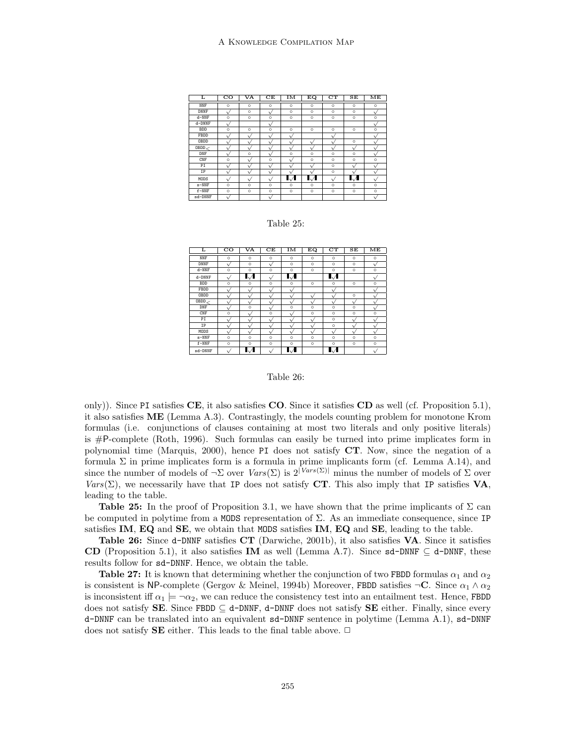| L                          | $_{\rm CO}$  | VA       | CЕ         | IM         | EQ        | $_{\rm CT}$ | SE        | $\overline{\bf M}{\bf E}$ |
|----------------------------|--------------|----------|------------|------------|-----------|-------------|-----------|---------------------------|
| NNF                        | $\circ$      | $\circ$  | $\circ$    | $\circ$    | $\circ$   | $\circ$     | $\circ$   | $\circ$                   |
| DNNF                       | $\checkmark$ | $\circ$  | $\sqrt{ }$ | $\circ$    | $\circ$   | $\circ$     | $\circ$   | $\sqrt{}$                 |
| $d-NNF$                    | $\circ$      | $\circ$  | $\circ$    | $\circ$    | $\circ$   | $\circ$     | $\circ$   | $\circ$                   |
| $d$ -DNN $F$               | $\sqrt{}$    |          | $\sqrt{}$  |            |           |             |           | $\sqrt{}$                 |
| <b>BDD</b>                 | $\circ$      | $\circ$  | $\circ$    | $\circ$    | $\circ$   | $\circ$     | $\circ$   | $\circ$                   |
| FBDD                       | v            |          | v          | $\sqrt{2}$ |           | $\sqrt{}$   |           | v                         |
| OBDD                       | A.           |          | v          | $\sqrt{2}$ |           | v           | $\circ$   | v                         |
| $\overline{\texttt{OBDD}}$ | $\sqrt{}$    |          | $\sqrt{}$  | $\sqrt{2}$ | $\sqrt{}$ | $\sqrt{}$   | $\sqrt{}$ | Ŵ                         |
| DNF                        | $\sqrt{}$    | $\circ$  | $\sqrt{}$  | $\circ$    | $\circ$   | $\circ$     | $\circ$   | ν                         |
| CNF                        | $\circ$      |          | $\circ$    | $\sqrt{2}$ | $\circ$   | $\circ$     | $\circ$   | $\circ$                   |
| PI                         |              |          | ν          | r          | $\sqrt{}$ | $\circ$     |           |                           |
| <b>IP</b>                  |              |          | v          | $\sqrt{2}$ |           | $\circ$     |           | v                         |
| MODS                       | ν            |          |            |            |           | $\sqrt{}$   |           | ν                         |
| s-NNF                      | $\circ$      | $\Omega$ | $\circ$    | $\circ$    | $\circ$   | $\circ$     | $\circ$   | $\circ$                   |
| $f$ -NNF                   | $\circ$      | $\circ$  | $\circ$    | $\circ$    | $\circ$   | $\circ$     | $\circ$   | $\circ$                   |
| sd-DNNF                    | $\checkmark$ |          | $\sqrt{}$  |            |           |             |           | $\sqrt{}$                 |

Table 25:

| L            | $_{\rm CO}$ | VA        | CЕ           | IM           | ĒQ          | $_{\rm CT}$  | SE         | ME           |
|--------------|-------------|-----------|--------------|--------------|-------------|--------------|------------|--------------|
| NNF          | $\circ$     | $\circ$   | $\circ$      | $\circ$      | $\circ$     | $\circ$      | $\circ$    | $\circ$      |
| <b>DNNF</b>  |             | $\circ$   | $\sqrt{}$    | $\circ$      | $\circ$     | $\circ$      | $\circ$    | $\sqrt{}$    |
| $d-NNF$      | $\circ$     | $\circ$   | $\circ$      | $\circ$      | $\circ$     | $\circ$      | $\circ$    | $\circ$      |
| $d$ -DNN $F$ |             | !√        | $\checkmark$ | $\mathbf{L}$ |             | $\mathbf{L}$ |            | $\sqrt{}$    |
| <b>BDD</b>   | $\circ$     | $\circ$   | $\circ$      | $\Omega$     | $\circ$     | $\circ$      | $\circ$    | $\circ$      |
| FBDD         |             | $\sqrt{}$ | v            | $\sqrt{}$    |             | v            |            | x            |
| OBDD         | v           | $\sqrt{}$ | ν            | $\sqrt{}$    | $\sqrt{}$   | $\sqrt{}$    | $\circ$    | N            |
| OBDD         |             |           | v            | v            | $\sqrt{}$   | v            | v          | $\lambda$    |
| DNF          |             | $\circ$   |              | $\circ$      | $\circ$     | $\circ$      | $\circ$    | N            |
| CNF          | $\circ$     |           | $\circ$      |              | $\circ$     | $\circ$      | $\circ$    | $\circ$      |
| PI           |             |           |              |              | ν           | $\circ$      | x          | x            |
| <b>IP</b>    |             | $\sqrt{}$ |              |              | $\sqrt{}$   | $\circ$      | $\sqrt{ }$ | $\mathbf{v}$ |
| MODS         |             | $\sqrt{}$ | v            | v            | $\check{ }$ | $\sqrt{}$    | ν          | x            |
| $s$ -NNF     | $\circ$     | $\circ$   | $\circ$      | $\circ$      | $\circ$     | $\circ$      | $\circ$    | $\circ$      |
| $f$ -NN $F$  | $\circ$     | $\circ$   | $\circ$      | $\circ$      | $\circ$     | $\circ$      | $\circ$    | $\circ$      |
| sd-DNNF      |             |           |              |              |             |              |            | $\checkmark$ |

#### Table 26:

only)). Since PI satisfies  $CE$ , it also satisfies  $CO$ . Since it satisfies  $CD$  as well (cf. Proposition 5.1), it also satisfies  $ME$  (Lemma A.3). Contrastingly, the models counting problem for monotone Krom formulas (i.e. conjunctions of clauses containing at most two literals and only positive literals) is  $\#P$ -complete (Roth, 1996). Such formulas can easily be turned into prime implicates form in polynomial time (Marquis, 2000), hence PI does not satisfy CT. Now, since the negation of a formula  $\Sigma$  in prime implicates form is a formula in prime implicants form (cf. Lemma A.14), and since the number of models of  $\neg \Sigma$  over  $Vars(\Sigma)$  is  $2^{|Vars(\Sigma)|}$  minus the number of models of  $\Sigma$  over Vars( $\Sigma$ ), we necessarily have that IP does not satisfy CT. This also imply that IP satisfies VA, leading to the table.

Table 25: In the proof of Proposition 3.1, we have shown that the prime implicants of  $\Sigma$  can be computed in polytime from a MODS representation of  $\Sigma$ . As an immediate consequence, since IP satisfies IM, EQ and SE, we obtain that MODS satisfies IM, EQ and SE, leading to the table.

Table 26: Since d-DNNF satisfies CT (Darwiche, 2001b), it also satisfies VA. Since it satisfies CD (Proposition 5.1), it also satisfies IM as well (Lemma A.7). Since  $sd$ -DNNF  $\subseteq$  d-DNNF, these results follow for sd-DNNF. Hence, we obtain the table.

Table 27: It is known that determining whether the conjunction of two FBDD formulas  $\alpha_1$  and  $\alpha_2$ is consistent is NP-complete (Gergov & Meinel, 1994b) Moreover, FBDD satisfies  $\neg \mathbf{C}$ . Since  $\alpha_1 \wedge \alpha_2$ is inconsistent iff  $\alpha_1 \models \neg \alpha_2$ , we can reduce the consistency test into an entailment test. Hence, FBDD does not satisfy **SE**. Since FBDD  $\subseteq$  d-DNNF, d-DNNF does not satisfy **SE** either. Finally, since every d-DNNF can be translated into an equivalent sd-DNNF sentence in polytime (Lemma A.1), sd-DNNF does not satisfy **SE** either. This leads to the final table above.  $\Box$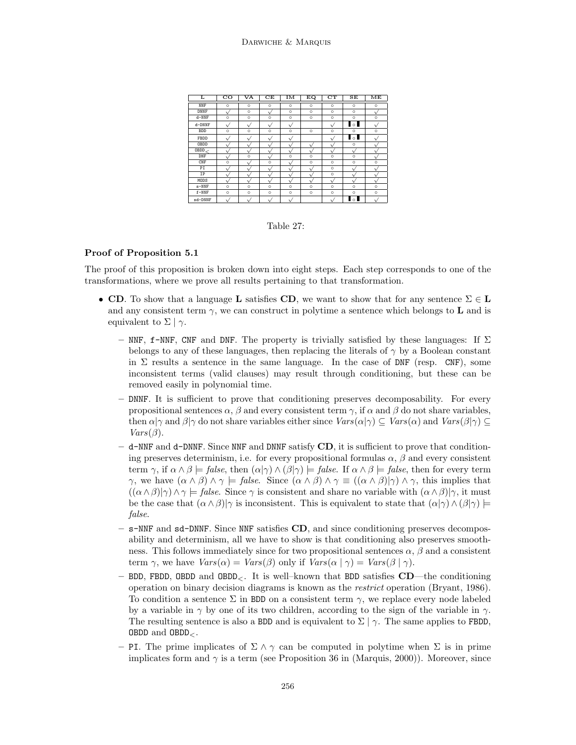| L                          | $_{\rm CO}$  | $\overline{\mathsf{v}\mathsf{A}}$ | CE           | IM           | EQ           | CT           | SE                       | ME           |
|----------------------------|--------------|-----------------------------------|--------------|--------------|--------------|--------------|--------------------------|--------------|
| <b>NNF</b>                 | $\circ$      | $\circ$                           | $\circ$      | $\circ$      | $\circ$      | $\circ$      | $\circ$                  | $\circ$      |
| <b>DNNF</b>                | $\sqrt{}$    | $\circ$                           | $\check{ }$  | $\circ$      | $\circ$      | $\circ$      | $\circ$                  | r            |
| $d-NNF$                    | $\circ$      | $\circ$                           | $\circ$      | $\circ$      | $\circ$      | $\circ$      | $\circ$                  | $\circ$      |
| d-DNNF                     | $\checkmark$ | $\checkmark$                      | $\checkmark$ | $\checkmark$ |              | $\checkmark$ | $\circ$                  | ν            |
| <b>BDD</b>                 | $\circ$      | $\circ$                           | $\circ$      | $\circ$      | $\circ$      | $\circ$      | $\circ$                  | $\circ$      |
| FBDD                       | $\sqrt{}$    | $\sqrt{}$                         | $\checkmark$ | $\checkmark$ |              | $\checkmark$ | $\overline{\phantom{a}}$ | $\checkmark$ |
| OBDD                       | $\sqrt{}$    | $\sqrt{}$                         | $\sqrt{ }$   | $\sqrt{}$    | $\checkmark$ | $\sqrt{}$    | $\circ$                  | $\sqrt{2}$   |
| $\overline{\texttt{OBDD}}$ | $\sqrt{}$    | $\sqrt{}$                         | $\sqrt{}$    | $\sqrt{}$    | $\checkmark$ | $\checkmark$ | $\checkmark$             | $\cdot$      |
| DNF                        | v            | $\circ$                           | $\sqrt{}$    | $\circ$      | $\circ$      | $\circ$      | $\circ$                  | ٦            |
| CNF                        | $\circ$      |                                   | $\circ$      | $\sqrt{}$    | $\circ$      | $\circ$      | $\circ$                  | $\circ$      |
| PI                         | v            |                                   | $\sqrt{}$    | À.           | ν            | $\circ$      | ν                        | ٦            |
| <b>IP</b>                  | v            |                                   | ν            | $\lambda$    | ν            | $\circ$      | r                        |              |
| MODS                       |              |                                   | ν            | $\sqrt{}$    | ν            | $\checkmark$ | ν                        |              |
| $s$ -NN $F$                | $\Omega$     | $\Omega$                          | $\circ$      | $\circ$      | $\circ$      | $\circ$      | $\circ$                  | $\circ$      |
| $f$ -NN $F$                | $\circ$      | $\circ$                           | $\circ$      | $\circ$      | $\circ$      | $\circ$      | $\circ$                  | $\circ$      |
| sd-DNNF                    | $\sqrt{}$    | $\checkmark$                      | $\sqrt{}$    | $\checkmark$ |              | ν            | $\circ$                  | $\checkmark$ |

#### Table 27:

## Proof of Proposition 5.1

The proof of this proposition is broken down into eight steps. Each step corresponds to one of the transformations, where we prove all results pertaining to that transformation.

- CD. To show that a language L satisfies CD, we want to show that for any sentence  $\Sigma \in L$ and any consistent term  $\gamma$ , we can construct in polytime a sentence which belongs to **L** and is equivalent to  $\Sigma \mid \gamma$ .
	- NNF, f-NNF, CNF and DNF. The property is trivially satisfied by these languages: If  $\Sigma$ belongs to any of these languages, then replacing the literals of  $\gamma$  by a Boolean constant in  $\Sigma$  results a sentence in the same language. In the case of DNF (resp. CNF), some inconsistent terms (valid clauses) may result through conditioning, but these can be removed easily in polynomial time.
	- DNNF. It is sufficient to prove that conditioning preserves decomposability. For every propositional sentences  $\alpha$ ,  $\beta$  and every consistent term  $\gamma$ , if  $\alpha$  and  $\beta$  do not share variables, then  $\alpha|\gamma$  and  $\beta|\gamma$  do not share variables either since  $Vars(\alpha|\gamma) \subseteq Vars(\alpha)$  and  $Vars(\beta|\gamma) \subseteq$  $Vars(\beta)$ .
	- $-$  d-NNF and d-DNNF. Since NNF and DNNF satisfy CD, it is sufficient to prove that conditioning preserves determinism, i.e. for every propositional formulas  $\alpha$ ,  $\beta$  and every consistent term  $\gamma$ , if  $\alpha \wedge \beta$  = false, then  $(\alpha | \gamma) \wedge (\beta | \gamma)$  = false. If  $\alpha \wedge \beta$  = false, then for every term γ, we have  $(α \land β) \land γ$  = false. Since  $(α \land β) \land γ$  =  $((α \land β)|γ) \land γ$ , this implies that  $((\alpha \wedge \beta)|\gamma) \wedge \gamma \models false$ . Since  $\gamma$  is consistent and share no variable with  $(\alpha \wedge \beta)|\gamma$ , it must be the case that  $(\alpha \wedge \beta)|\gamma$  is inconsistent. This is equivalent to state that  $(\alpha|\gamma) \wedge (\beta|\gamma) \models$ false.
	- $-$  s-NNF and sd-DNNF. Since NNF satisfies CD, and since conditioning preserves decomposability and determinism, all we have to show is that conditioning also preserves smoothness. This follows immediately since for two propositional sentences  $\alpha$ ,  $\beta$  and a consistent term  $\gamma$ , we have  $Vars(\alpha) = Vars(\beta)$  only if  $Vars(\alpha | \gamma) = Vars(\beta | \gamma)$ .
	- $-$  BDD, FBDD, OBDD and OBDD<sub> $\lt$ </sub>. It is well-known that BDD satisfies **CD**—the conditioning operation on binary decision diagrams is known as the restrict operation (Bryant, 1986). To condition a sentence  $\Sigma$  in BDD on a consistent term  $\gamma$ , we replace every node labeled by a variable in  $\gamma$  by one of its two children, according to the sign of the variable in  $\gamma$ . The resulting sentence is also a BDD and is equivalent to  $\Sigma$  |  $\gamma$ . The same applies to FBDD, OBDD and  $0BDD_{<}$ .
	- PI. The prime implicates of  $\Sigma \wedge \gamma$  can be computed in polytime when  $\Sigma$  is in prime implicates form and  $\gamma$  is a term (see Proposition 36 in (Marquis, 2000)). Moreover, since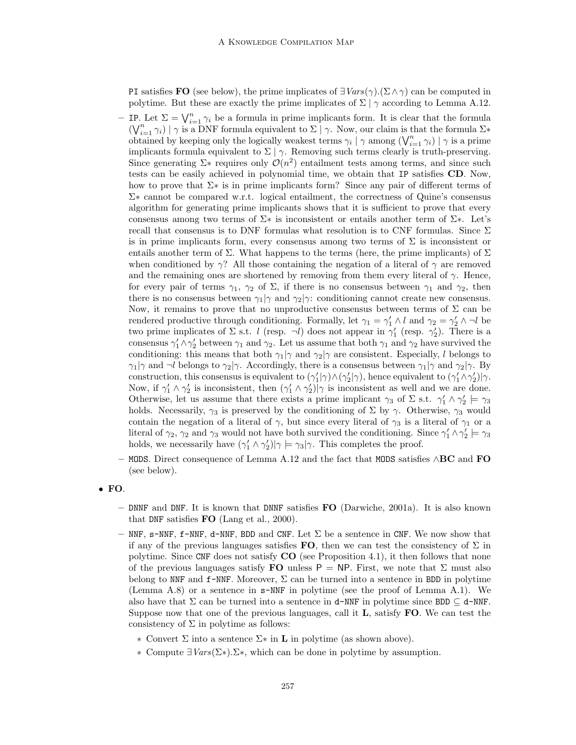PI satisfies FO (see below), the prime implicates of  $\exists Vars(\gamma)$ .  $(\Sigma \wedge \gamma)$  can be computed in polytime. But these are exactly the prime implicates of  $\Sigma | \gamma$  according to Lemma A.12.

- IP. Let  $\Sigma = \bigvee_{i=1}^{n} \gamma_i$  be a formula in prime implicants form. It is clear that the formula  $\bigwedge_{i=1}^{n} \gamma_i$  be a formula in prime implicants form. It is clear that the formula  $(\bigvee_{i=1}^{n} \gamma_i) \mid \gamma$  is a DNF formula equivalent to  $\Sigma \mid \gamma$ . Now, our claim is that the formula  $\Sigma^*$  $(\nabla_{i=1} \gamma_i) \mid \gamma$  is a DNF formula equivalent to  $\Sigma \mid \gamma$ . Now, our claim is that the formula  $\Sigma^*$  obtained by keeping only the logically weakest terms  $\gamma_i \mid \gamma$  among  $(\bigvee_{i=1}^n \gamma_i) \mid \gamma$  is a prime implicants formula equivalent to  $\Sigma \mid \gamma$ . Removing such terms clearly is truth-preserving. Since generating  $\Sigma^*$  requires only  $\mathcal{O}(n^2)$  entailment tests among terms, and since such tests can be easily achieved in polynomial time, we obtain that IP satisfies CD. Now, how to prove that  $\Sigma^*$  is in prime implicants form? Since any pair of different terms of Σ∗ cannot be compared w.r.t. logical entailment, the correctness of Quine's consensus algorithm for generating prime implicants shows that it is sufficient to prove that every consensus among two terms of  $\Sigma^*$  is inconsistent or entails another term of  $\Sigma^*$ . Let's recall that consensus is to DNF formulas what resolution is to CNF formulas. Since  $\Sigma$ is in prime implicants form, every consensus among two terms of  $\Sigma$  is inconsistent or entails another term of  $\Sigma$ . What happens to the terms (here, the prime implicants) of  $\Sigma$ when conditioned by  $\gamma$ ? All those containing the negation of a literal of  $\gamma$  are removed and the remaining ones are shortened by removing from them every literal of  $\gamma$ . Hence, for every pair of terms  $\gamma_1$ ,  $\gamma_2$  of  $\Sigma$ , if there is no consensus between  $\gamma_1$  and  $\gamma_2$ , then there is no consensus between  $\gamma_1|\gamma$  and  $\gamma_2|\gamma$ : conditioning cannot create new consensus. Now, it remains to prove that no unproductive consensus between terms of  $\Sigma$  can be rendered productive through conditioning. Formally, let  $\gamma_1 = \gamma'_1 \wedge l$  and  $\gamma_2 = \gamma'_2 \wedge \neg l$  be two prime implicates of  $\Sigma$  s.t. l (resp.  $\neg l$ ) does not appear in  $\gamma'_{1}$  (resp.  $\gamma'_{2}$ ). There is a consensus  $\gamma'_1 \wedge \gamma'_2$  between  $\gamma_1$  and  $\gamma_2$ . Let us assume that both  $\gamma_1$  and  $\gamma_2$  have survived the conditioning: this means that both  $\gamma_1|\gamma$  and  $\gamma_2|\gamma$  are consistent. Especially, l belongs to  $\gamma_1|\gamma$  and  $\neg l$  belongs to  $\gamma_2|\gamma$ . Accordingly, there is a consensus between  $\gamma_1|\gamma$  and  $\gamma_2|\gamma$ . By construction, this consensus is equivalent to  $(\gamma_1'|\gamma) \wedge (\gamma_2'|\gamma)$ , hence equivalent to  $(\gamma_1' \wedge \gamma_2')|\gamma$ . Now, if  $\gamma'_1 \wedge \gamma'_2$  is inconsistent, then  $(\gamma'_1 \wedge \gamma'_2)|\gamma$  is inconsistent as well and we are done. Otherwise, let us assume that there exists a prime implicant  $\gamma_3$  of  $\Sigma$  s.t.  $\gamma'_1 \wedge \gamma'_2 \models \gamma_3$ holds. Necessarily,  $\gamma_3$  is preserved by the conditioning of  $\Sigma$  by  $\gamma$ . Otherwise,  $\gamma_3$  would contain the negation of a literal of  $\gamma$ , but since every literal of  $\gamma_3$  is a literal of  $\gamma_1$  or a literal of  $\gamma_2$ ,  $\gamma_2$  and  $\gamma_3$  would not have both survived the conditioning. Since  $\gamma'_1 \wedge \gamma'_2 \models \gamma_3$ holds, we necessarily have  $(\gamma'_1 \wedge \gamma'_2)|\gamma \models \gamma_3|\gamma$ . This completes the proof.
- MODS. Direct consequence of Lemma A.12 and the fact that MODS satisfies ∧BC and FO (see below).
- $\bullet$  FO.
	- DNNF and DNF. It is known that DNNF satisfies FO (Darwiche, 2001a). It is also known that DNF satisfies FO (Lang et al., 2000).
	- NNF,  $s$ -NNF, f-NNF, d-NNF, BDD and CNF. Let  $\Sigma$  be a sentence in CNF. We now show that if any of the previous languages satisfies **FO**, then we can test the consistency of  $\Sigma$  in polytime. Since CNF does not satisfy CO (see Proposition 4.1), it then follows that none of the previous languages satisfy **FO** unless  $P = NP$ . First, we note that  $\Sigma$  must also belong to NNF and  $f$ -NNF. Moreover,  $\Sigma$  can be turned into a sentence in BDD in polytime (Lemma A.8) or a sentence in s-NNF in polytime (see the proof of Lemma A.1). We also have that  $\Sigma$  can be turned into a sentence in d-NNF in polytime since BDD  $\subset$  d-NNF. Suppose now that one of the previous languages, call it **, satisfy**  $**FO**$ **. We can test the** consistency of  $\Sigma$  in polytime as follows:
		- ∗ Convert Σ into a sentence Σ∗ in L in polytime (as shown above).
		- ∗ Compute ∃Vars(Σ∗).Σ∗, which can be done in polytime by assumption.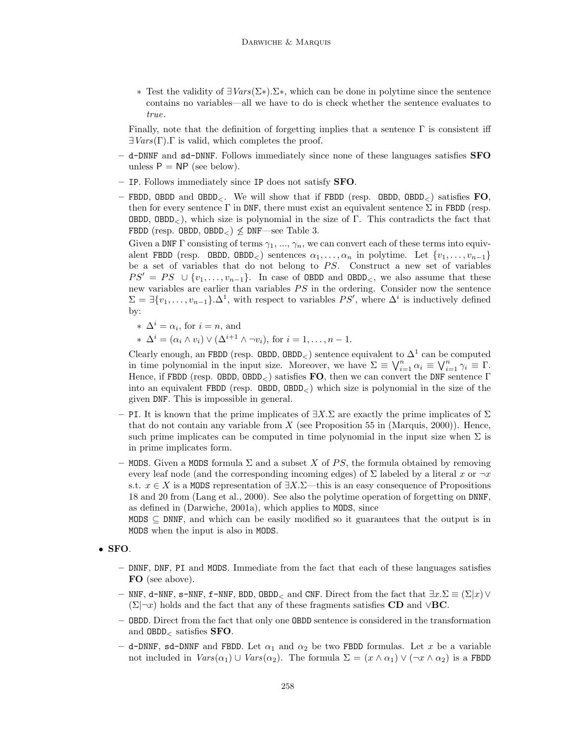∗ Test the validity of ∃Vars(Σ∗).Σ∗, which can be done in polytime since the sentence contains no variables—all we have to do is check whether the sentence evaluates to true.

Finally, note that the definition of forgetting implies that a sentence  $\Gamma$  is consistent iff  $\exists \textit{Vars}(\Gamma)$ . is valid, which completes the proof.

- $-$  d-DNNF and sd-DNNF. Follows immediately since none of these languages satisfies  $SFO$ unless  $P = NP$  (see below).
- IP. Follows immediately since IP does not satisfy SFO.
- FBDD, OBDD and OBDD<sub> $\lt$ </sub>. We will show that if FBDD (resp. OBDD, OBDD<sub> $\lt$ </sub>) satisfies **FO**, then for every sentence  $\Gamma$  in DNF, there must exist an equivalent sentence  $\Sigma$  in FBDD (resp. **OBDD**, OBDD<sub> $\leq$ </sub>), which size is polynomial in the size of Γ. This contradicts the fact that FBDD (resp. OBDD, OBDD<sub> $\leq$ </sub>)  $\nleq$  DNF—see Table 3.

Given a DNF  $\Gamma$  consisting of terms  $\gamma_1, ..., \gamma_n$ , we can convert each of these terms into equivalent FBDD (resp. OBDD, OBDD<sub><</sub>) sentences  $\alpha_1, \ldots, \alpha_n$  in polytime. Let  $\{v_1, \ldots, v_{n-1}\}\$ be a set of variables that do not belong to  $PS$ . Construct a new set of variables  $PS' = PS \cup \{v_1, \ldots, v_{n-1}\}.$  In case of OBDD and OBDD<sub><br/>,</sub> we also assume that these new variables are earlier than variables  $PS$  in the ordering. Consider now the sentence  $\Sigma = \exists \{v_1, \ldots, v_{n-1}\}.\Delta^1$ , with respect to variables  $PS'$ , where  $\Delta^i$  is inductively defined by:

- \*  $\Delta^i = \alpha_i$ , for  $i = n$ , and
- $\star \Delta^{i} = (\alpha_i \wedge v_i) \vee (\Delta^{i+1} \wedge \neg v_i),$  for  $i = 1, \ldots, n-1$ .

Clearly enough, an FBDD (resp. OBDD, OBDD<sub><</sub>) sentence equivalent to  $\Delta^1$  can be computed<br>in time a shareovial in the input size. Moreover, we have  $\Sigma = \lambda t^n$ ,  $\lambda = \lambda t^n$ ,  $\lambda = \Sigma$ in time polynomial in the input size. Moreover, we have  $\Sigma \equiv \bigvee_{i=1}^{n} \alpha_i \equiv \bigvee_{i=1}^{n} \gamma_i \equiv \Gamma$ . Hence, if FBDD (resp. OBDD, OBDD<sub><</sub>) satisfies **FO**, then we can convert the DNF sentence  $\Gamma$ into an equivalent FBDD (resp. OBDD,  $OBDD<sub>></sub>$ ) which size is polynomial in the size of the given DNF. This is impossible in general.

- PI. It is known that the prime implicates of  $\exists X.\Sigma$  are exactly the prime implicates of  $\Sigma$ that do not contain any variable from  $X$  (see Proposition 55 in (Marquis, 2000)). Hence, such prime implicates can be computed in time polynomial in the input size when  $\Sigma$  is in prime implicates form.
- MODS. Given a MODS formula  $\Sigma$  and a subset X of PS, the formula obtained by removing every leaf node (and the corresponding incoming edges) of  $\Sigma$  labeled by a literal x or  $\neg x$ s.t.  $x \in X$  is a MODS representation of  $\exists X.\Sigma$ —this is an easy consequence of Propositions 18 and 20 from (Lang et al., 2000). See also the polytime operation of forgetting on DNNF, as defined in (Darwiche, 2001a), which applies to MODS, since

MODS  $\subseteq$  DNNF, and which can be easily modified so it guarantees that the output is in MODS when the input is also in MODS.

## • SFO.

- DNNF, DNF, PI and MODS. Immediate from the fact that each of these languages satisfies FO (see above).
- NNF, d-NNF, s-NNF, f-NNF, BDD, OBDD<sub><</sub> and CNF. Direct from the fact that  $\exists x.\Sigma \equiv (\Sigma|x) \vee \Sigma$  $(\Sigma|\neg x)$  holds and the fact that any of these fragments satisfies CD and ∨BC.
- OBDD. Direct from the fact that only one OBDD sentence is considered in the transformation and  $0BDD<sub>0</sub>$  satisfies **SFO**.
- d-DNNF, sd-DNNF and FBDD. Let  $\alpha_1$  and  $\alpha_2$  be two FBDD formulas. Let x be a variable not included in  $Vars(\alpha_1) \cup Vars(\alpha_2)$ . The formula  $\Sigma = (x \wedge \alpha_1) \vee (\neg x \wedge \alpha_2)$  is a FBDD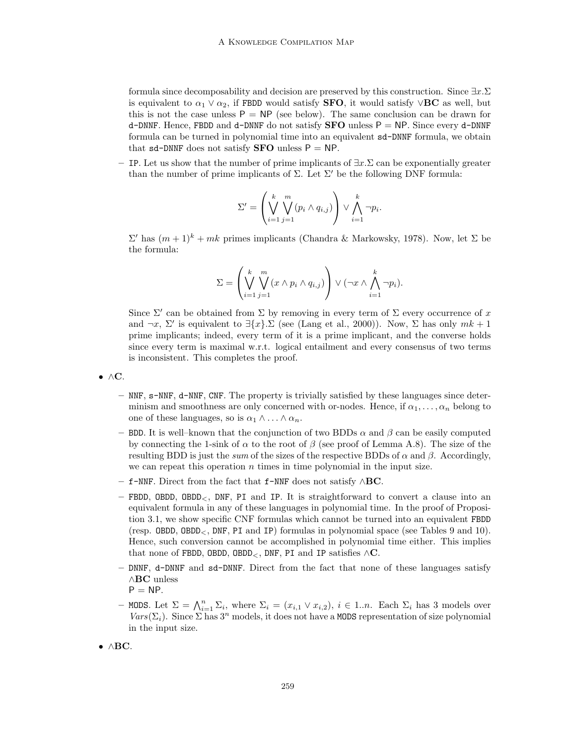formula since decomposability and decision are preserved by this construction. Since  $\exists x.\Sigma$ is equivalent to  $\alpha_1 \vee \alpha_2$ , if FBDD would satisfy SFO, it would satisfy  $\vee$ BC as well, but this is not the case unless  $P = NP$  (see below). The same conclusion can be drawn for d-DNNF. Hence, FBDD and d-DNNF do not satisfy  $SFO$  unless  $P = NP$ . Since every d-DNNF formula can be turned in polynomial time into an equivalent sd-DNNF formula, we obtain that sd-DNNF does not satisfy **SFO** unless  $P = NP$ .

– IP. Let us show that the number of prime implicants of ∃x.Σ can be exponentially greater than the number of prime implicants of  $\Sigma$ . Let  $\Sigma'$  be the following DNF formula:

$$
\Sigma' = \left(\bigvee_{i=1}^k \bigvee_{j=1}^m (p_i \wedge q_{i,j})\right) \vee \bigwedge_{i=1}^k \neg p_i.
$$

 $\Sigma'$  has  $(m+1)<sup>k</sup> + mk$  primes implicants (Chandra & Markowsky, 1978). Now, let Σ be the formula:

$$
\Sigma = \left( \bigvee_{i=1}^{k} \bigvee_{j=1}^{m} (x \wedge p_i \wedge q_{i,j}) \right) \vee (\neg x \wedge \bigwedge_{i=1}^{k} \neg p_i).
$$

Since  $\Sigma'$  can be obtained from  $\Sigma$  by removing in every term of  $\Sigma$  every occurrence of x and  $\neg x$ ,  $\Sigma'$  is equivalent to  $\exists \{x\}.\Sigma$  (see (Lang et al., 2000)). Now,  $\Sigma$  has only  $mk + 1$ prime implicants; indeed, every term of it is a prime implicant, and the converse holds since every term is maximal w.r.t. logical entailment and every consensus of two terms is inconsistent. This completes the proof.

- ∧C.
	- NNF, s-NNF, d-NNF, CNF. The property is trivially satisfied by these languages since determinism and smoothness are only concerned with or-nodes. Hence, if  $\alpha_1, \ldots, \alpha_n$  belong to one of these languages, so is  $\alpha_1 \wedge \ldots \wedge \alpha_n$ .
	- BDD. It is well–known that the conjunction of two BDDs  $\alpha$  and  $\beta$  can be easily computed by connecting the 1-sink of  $\alpha$  to the root of  $\beta$  (see proof of Lemma A.8). The size of the resulting BDD is just the *sum* of the sizes of the respective BDDs of  $\alpha$  and  $\beta$ . Accordingly, we can repeat this operation  $n$  times in time polynomial in the input size.
	- f-NNF. Direct from the fact that f-NNF does not satisfy  $\wedge$ BC.
	- FBDD, OBDD, OBDD<, DNF, PI and IP. It is straightforward to convert a clause into an equivalent formula in any of these languages in polynomial time. In the proof of Proposition 3.1, we show specific CNF formulas which cannot be turned into an equivalent FBDD (resp. OBDD, OBDD<sub><</sub>, DNF, PI and IP) formulas in polynomial space (see Tables 9 and 10). Hence, such conversion cannot be accomplished in polynomial time either. This implies that none of FBDD, OBDD, OBDD<sub><</sub>, DNF, PI and IP satisfies  $\wedge \mathbf{C}$ .
	- DNNF, d-DNNF and sd-DNNF. Direct from the fact that none of these languages satisfy ∧BC unless  $P = NP$ .
	- MODS. Let  $\Sigma = \bigwedge_{i=1}^n \Sigma_i$ , where  $\Sigma_i = (x_{i,1} \vee x_{i,2}), i \in 1..n$ . Each  $\Sigma_i$  has 3 models over  $Vars(\Sigma_i)$ . Since  $\Sigma$  has  $3^n$  models, it does not have a MODS representation of size polynomial in the input size.
- ∧BC.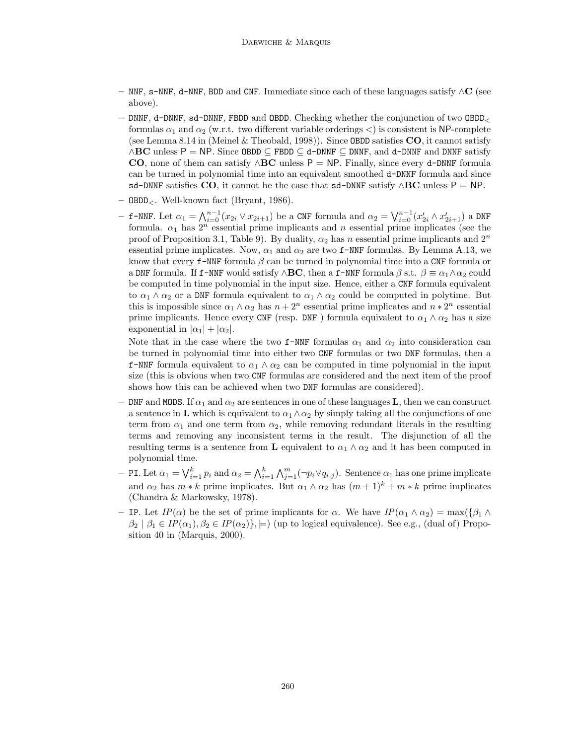- NNF, s-NNF, d-NNF, BDD and CNF. Immediate since each of these languages satisfy ∧C (see above).
- DNNF, d-DNNF, sd-DNNF, FBDD and OBDD. Checking whether the conjunction of two  $OBDD<sub>5</sub>$ formulas  $\alpha_1$  and  $\alpha_2$  (w.r.t. two different variable orderings  $\lt$ ) is consistent is NP-complete (see Lemma 8.14 in (Meinel & Theobald, 1998)). Since OBDD satisfies CO, it cannot satisfy  $\wedge$ **BC** unless P = NP. Since OBDD  $\subseteq$  FBDD  $\subseteq$  d-DNNF  $\subseteq$  DNNF, and d-DNNF and DNNF satisfy **CO**, none of them can satisfy  $\wedge$ **BC** unless P = NP. Finally, since every d-DNNF formula can be turned in polynomial time into an equivalent smoothed d-DNNF formula and since sd-DNNF satisfies CO, it cannot be the case that sd-DNNF satisfy ∧BC unless P = NP.
- $-$  OBDD<sub> $\lt$ </sub>. Well-known fact (Bryant, 1986).
- $-$  f-NNF. Let  $\alpha_1 = \bigwedge_{i=0}^{n-1} (x_{2i} \vee x_{2i+1})$  be a CNF formula and  $\alpha_2 = \bigvee_{i=0}^{n-1} (x'_{2i} \wedge x'_{2i+1})$  a DNF formula.  $\alpha_1$  has  $2^n$  essential prime implicants and n essential prime implicates (see the proof of Proposition 3.1, Table 9). By duality,  $\alpha_2$  has n essential prime implicants and  $2^n$ essential prime implicates. Now,  $\alpha_1$  and  $\alpha_2$  are two f-NNF formulas. By Lemma A.13, we know that every f-NNF formula  $\beta$  can be turned in polynomial time into a CNF formula or a DNF formula. If f-NNF would satisfy  $\wedge$ BC, then a f-NNF formula  $\beta$  s.t.  $\beta \equiv \alpha_1 \wedge \alpha_2$  could be computed in time polynomial in the input size. Hence, either a CNF formula equivalent to  $\alpha_1 \wedge \alpha_2$  or a DNF formula equivalent to  $\alpha_1 \wedge \alpha_2$  could be computed in polytime. But this is impossible since  $\alpha_1 \wedge \alpha_2$  has  $n + 2^n$  essential prime implicates and  $n * 2^n$  essential prime implicants. Hence every CNF (resp. DNF) formula equivalent to  $\alpha_1 \wedge \alpha_2$  has a size exponential in  $|\alpha_1| + |\alpha_2|$ .

Note that in the case where the two f-NNF formulas  $\alpha_1$  and  $\alpha_2$  into consideration can be turned in polynomial time into either two CNF formulas or two DNF formulas, then a f-NNF formula equivalent to  $\alpha_1 \wedge \alpha_2$  can be computed in time polynomial in the input size (this is obvious when two CNF formulas are considered and the next item of the proof shows how this can be achieved when two DNF formulas are considered).

- DNF and MODS. If  $\alpha_1$  and  $\alpha_2$  are sentences in one of these languages **L**, then we can construct a sentence in L which is equivalent to  $\alpha_1 \wedge \alpha_2$  by simply taking all the conjunctions of one term from  $\alpha_1$  and one term from  $\alpha_2$ , while removing redundant literals in the resulting terms and removing any inconsistent terms in the result. The disjunction of all the resulting terms is a sentence from **L** equivalent to  $\alpha_1 \wedge \alpha_2$  and it has been computed in polynomial time.
- $-$  PI. Let  $\alpha_1 = \bigvee_{i=1}^k p_i$  and  $\alpha_2 = \bigwedge_{i=1}^k p_i$  $i=1$  $\bigwedge_{j=1}^m (\neg p_i \vee q_{i,j})$ . Sentence  $\alpha_1$  has one prime implicate and  $\alpha_2$  has  $m * k$  prime implicates. But  $\alpha_1 \wedge \alpha_2$  has  $(m+1)^k + m * k$  prime implicates (Chandra & Markowsky, 1978).
- IP. Let  $IP(\alpha)$  be the set of prime implicants for  $\alpha$ . We have  $IP(\alpha_1 \wedge \alpha_2) = \max(\{\beta_1 \wedge \alpha_2\})$  $\beta_2 | \beta_1 \in IP(\alpha_1), \beta_2 \in IP(\alpha_2) \}, \models)$  (up to logical equivalence). See e.g., (dual of) Proposition 40 in (Marquis, 2000).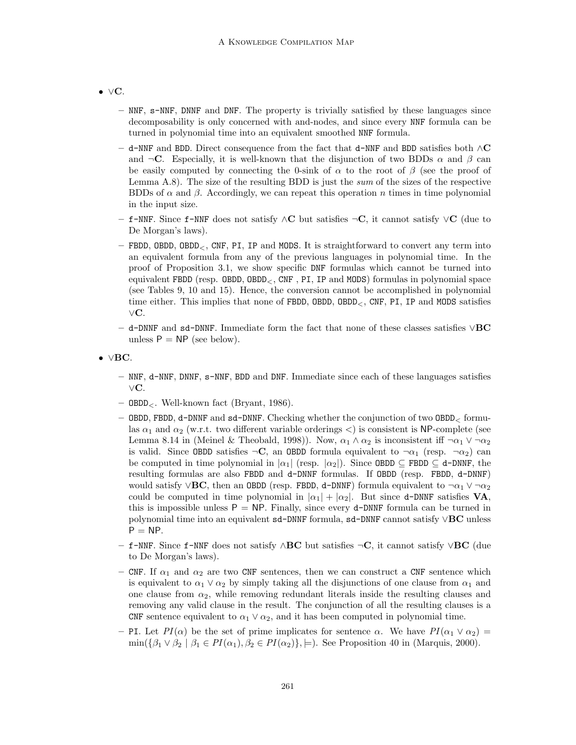- ∨C.
	- NNF, s-NNF, DNNF and DNF. The property is trivially satisfied by these languages since decomposability is only concerned with and-nodes, and since every NNF formula can be turned in polynomial time into an equivalent smoothed NNF formula.
	- d-NNF and BDD. Direct consequence from the fact that d-NNF and BDD satisfies both ∧C and  $\neg$ **C**. Especially, it is well-known that the disjunction of two BDDs  $\alpha$  and  $\beta$  can be easily computed by connecting the 0-sink of  $\alpha$  to the root of  $\beta$  (see the proof of Lemma  $(A.8)$ . The size of the resulting BDD is just the sum of the sizes of the respective BDDs of  $\alpha$  and  $\beta$ . Accordingly, we can repeat this operation n times in time polynomial in the input size.
	- f-NNF. Since f-NNF does not satisfy ∧C but satisfies  $\neg$ C, it cannot satisfy  $\vee$ C (due to De Morgan's laws).
	- FBDD, OBDD, OBDD<, CNF, PI, IP and MODS. It is straightforward to convert any term into an equivalent formula from any of the previous languages in polynomial time. In the proof of Proposition 3.1, we show specific DNF formulas which cannot be turned into equivalent FBDD (resp. OBDD, OBDD<, CNF , PI, IP and MODS) formulas in polynomial space (see Tables 9, 10 and 15). Hence, the conversion cannot be accomplished in polynomial time either. This implies that none of FBDD, OBDD, OBDD<sub><</sub>, CNF, PI, IP and MODS satisfies ∨C.
	- d-DNNF and sd-DNNF. Immediate form the fact that none of these classes satisfies  $\vee$ BC unless  $P = NP$  (see below).
- ∨BC.
	- NNF, d-NNF, DNNF, s-NNF, BDD and DNF. Immediate since each of these languages satisfies ∨C.
	- $-$  OBDD<sub> $\lt$ </sub>. Well-known fact (Bryant, 1986).
	- $-$  OBDD, FBDD, d-DNNF and sd-DNNF. Checking whether the conjunction of two OBDD<sub> $<$ </sub> formulas  $\alpha_1$  and  $\alpha_2$  (w.r.t. two different variable orderings  $\lt$ ) is consistent is NP-complete (see Lemma 8.14 in (Meinel & Theobald, 1998)). Now,  $\alpha_1 \wedge \alpha_2$  is inconsistent iff  $\neg \alpha_1 \vee \neg \alpha_2$ is valid. Since OBDD satisfies  $\neg \mathbf{C}$ , an OBDD formula equivalent to  $\neg \alpha_1$  (resp.  $\neg \alpha_2$ ) can be computed in time polynomial in  $|\alpha_1|$  (resp.  $|\alpha_2|$ ). Since OBDD  $\subseteq$  FBDD  $\subseteq$  d-DNNF, the resulting formulas are also FBDD and d-DNNF formulas. If OBDD (resp. FBDD, d-DNNF) would satisfy ∨BC, then an OBDD (resp. FBDD, d-DNNF) formula equivalent to  $\neg \alpha_1 \lor \neg \alpha_2$ could be computed in time polynomial in  $|\alpha_1| + |\alpha_2|$ . But since d-DNNF satisfies **VA**, this is impossible unless  $P = NP$ . Finally, since every **d-DNNF** formula can be turned in polynomial time into an equivalent sd-DNNF formula, sd-DNNF cannot satisfy ∨BC unless  $P = NP$ .
	- f-NNF. Since f-NNF does not satisfy ∧BC but satisfies  $\neg$ C, it cannot satisfy ∨BC (due to De Morgan's laws).
	- CNF. If  $\alpha_1$  and  $\alpha_2$  are two CNF sentences, then we can construct a CNF sentence which is equivalent to  $\alpha_1 \vee \alpha_2$  by simply taking all the disjunctions of one clause from  $\alpha_1$  and one clause from  $\alpha_2$ , while removing redundant literals inside the resulting clauses and removing any valid clause in the result. The conjunction of all the resulting clauses is a CNF sentence equivalent to  $\alpha_1 \vee \alpha_2$ , and it has been computed in polynomial time.
	- PI. Let  $PI(\alpha)$  be the set of prime implicates for sentence  $\alpha$ . We have  $PI(\alpha_1 \vee \alpha_2)$  $\min(\{\beta_1 \vee \beta_2 \mid \beta_1 \in PI(\alpha_1), \beta_2 \in PI(\alpha_2)\},\models)$ . See Proposition 40 in (Marquis, 2000).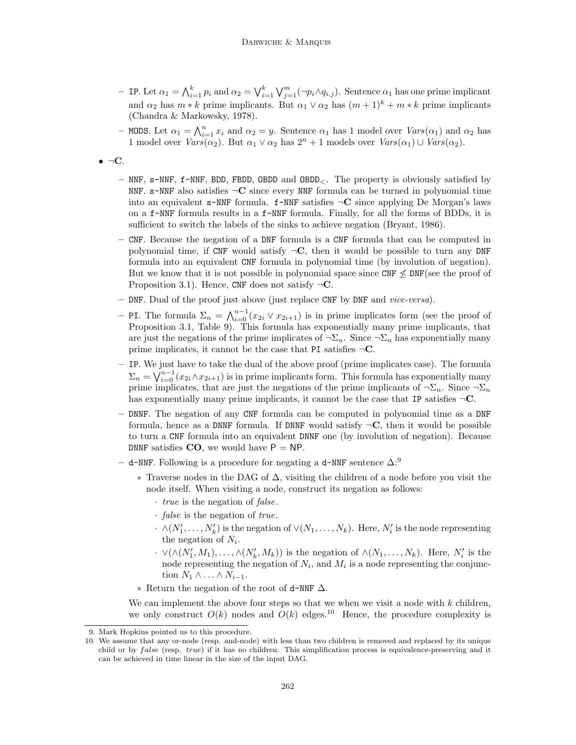- IP. Let  $\alpha_1 = \bigwedge_{i=1}^k p_i$  and  $\alpha_2 = \bigvee_{i=1}^k \bigvee_{j=1}^m (\neg p_i \wedge q_{i,j})$ . Sentence  $\alpha_1$  has one prime implicant and  $\alpha_2$  has  $m * k$  prime implicants. But  $\alpha_1 \vee \alpha_2$  has  $(m+1)^k + m * k$  prime implicants (Chandra & Markowsky, 1978).
- MODS. Let  $\alpha_1 = \bigwedge_{i=1}^n x_i$  and  $\alpha_2 = y$ . Sentence  $\alpha_1$  has 1 model over  $Vars(\alpha_1)$  and  $\alpha_2$  has 1 model over  $Vars(\alpha_2)$ . But  $\alpha_1 \vee \alpha_2$  has  $2^n + 1$  models over  $Vars(\alpha_1) \cup Var(s(\alpha_2)$ .

 $\bullet \ \neg C.$ 

- NNF,  $s$ -NNF,  $f$ -NNF, BDD, FBDD, OBDD and OBDD<sub> $\lt$ </sub>. The property is obviously satisfied by NNF.  $s$ -NNF also satisfies  $\neg$ C since every NNF formula can be turned in polynomial time into an equivalent  $s$ -NNF formula.  $f$ -NNF satisfies  $\neg$ **C** since applying De Morgan's laws on a f-NNF formula results in a f-NNF formula. Finally, for all the forms of BDDs, it is sufficient to switch the labels of the sinks to achieve negation (Bryant, 1986).
- CNF. Because the negation of a DNF formula is a CNF formula that can be computed in polynomial time, if CNF would satisfy  $\neg C$ , then it would be possible to turn any DNF formula into an equivalent CNF formula in polynomial time (by involution of negation). But we know that it is not possible in polynomial space since  $CNF \nleq DNF$  (see the proof of Proposition 3.1). Hence, CNF does not satisfy  $\neg \mathbf{C}$ .
- DNF. Dual of the proof just above (just replace CNF by DNF and vice-versa).
- $-$  PI. The formula Σ<sub>n</sub> =  $\bigwedge_{i=0}^{n-1}$  (x<sub>2i</sub> ∨ x<sub>2i+1</sub>) is in prime implicates form (see the proof of Proposition 3.1, Table 9). This formula has exponentially many prime implicants, that are just the negations of the prime implicates of  $\neg \Sigma_n$ . Since  $\neg \Sigma_n$  has exponentially many prime implicates, it cannot be the case that PI satisfies  $\neg \mathbf{C}$ .
- IP. We just have to take the dual of the above proof (prime implicates case). The formula  $\Sigma_n = \bigvee_{i=0}^{n-1} (x_{2i} \wedge x_{2i+1})$  is in prime implicants form. This formula has exponentially many prime implicates, that are just the negations of the prime implicants of  $\neg \Sigma_n$ . Since  $\neg \Sigma_n$ has exponentially many prime implicants, it cannot be the case that IP satisfies  $\neg C$ .
- DNNF. The negation of any CNF formula can be computed in polynomial time as a DNF formula, hence as a DNNF formula. If DNNF would satisfy  $\neg \mathbf{C}$ , then it would be possible to turn a CNF formula into an equivalent DNNF one (by involution of negation). Because DNNF satisfies  $CO$ , we would have  $P = NP$ .
- d-NNF. Following is a procedure for negating a d-NNF sentence ∆:<sup>9</sup>
	- ∗ Traverse nodes in the DAG of ∆, visiting the children of a node before you visit the node itself. When visiting a node, construct its negation as follows:
		- · true is the negation of false.
		- · false is the negation of true.
		- $\cdots \wedge (N'_1, \ldots, N'_k)$  is the negation of  $\vee (N_1, \ldots, N_k)$ . Here,  $N'_i$  is the node representing the negation of  $N_i$ .
		- $\cdot \ \vee (\wedge (N'_1, M_1), \ldots, \wedge (N'_k, M_k))$  is the negation of  $\wedge (N_1, \ldots, N_k)$ . Here,  $N'_i$  is the node representing the negation of  $N_i$ , and  $M_i$  is a node representing the conjunction  $N_1 \wedge \ldots \wedge N_{i-1}$ .
	- ∗ Return the negation of the root of d-NNF ∆.

We can implement the above four steps so that we when we visit a node with  $k$  children, we only construct  $O(k)$  nodes and  $O(k)$  edges.<sup>10</sup> Hence, the procedure complexity is

<sup>9.</sup> Mark Hopkins pointed us to this procedure.

<sup>10.</sup> We assume that any or-node (resp. and-node) with less than two children is removed and replaced by its unique child or by false (resp. true) if it has no children. This simplification process is equivalence-preserving and it can be achieved in time linear in the size of the input DAG.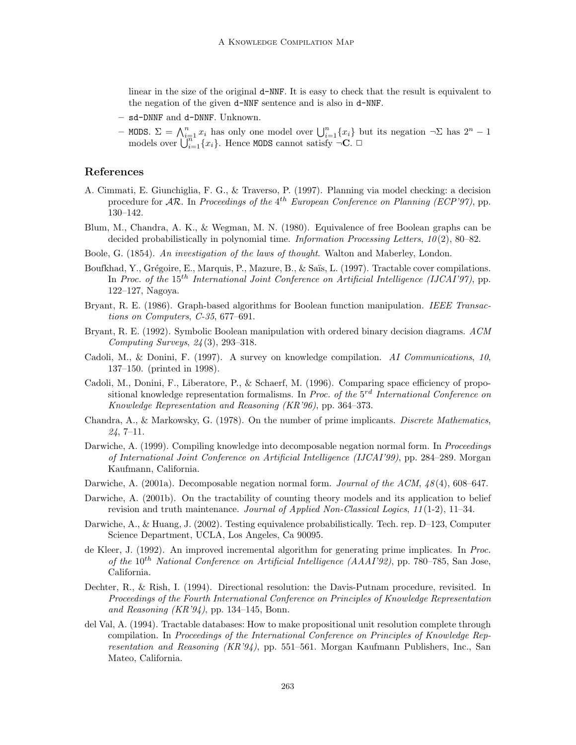linear in the size of the original  $d-NNF$ . It is easy to check that the result is equivalent to the negation of the given d-NNF sentence and is also in d-NNF.

- sd-DNNF and d-DNNF. Unknown.
- MODS. Σ =  $\bigwedge_{i=1}^{n} x_i$  has only one model over  $\bigcup_{i=1}^{n} \{x_i\}$  but its negation ¬Σ has  $2^n 1$  models over  $\bigcup_{i=1}^{n} \{x_i\}$ . Hence MODS cannot satisfy ¬C. □

## References

- A. Cimmati, E. Giunchiglia, F. G., & Traverso, P. (1997). Planning via model checking: a decision procedure for  $AR$ . In Proceedings of the  $4^{th}$  European Conference on Planning (ECP'97), pp. 130–142.
- Blum, M., Chandra, A. K., & Wegman, M. N. (1980). Equivalence of free Boolean graphs can be decided probabilistically in polynomial time. *Information Processing Letters*,  $10(2)$ ,  $80-82$ .
- Boole, G. (1854). An investigation of the laws of thought. Walton and Maberley, London.
- Boufkhad, Y., Grégoire, E., Marquis, P., Mazure, B., & Saïs, L. (1997). Tractable cover compilations. In Proc. of the  $15^{th}$  International Joint Conference on Artificial Intelligence (IJCAI'97), pp. 122–127, Nagoya.
- Bryant, R. E. (1986). Graph-based algorithms for Boolean function manipulation. IEEE Transactions on Computers, C-35, 677–691.
- Bryant, R. E. (1992). Symbolic Boolean manipulation with ordered binary decision diagrams. ACM Computing Surveys, 24 (3), 293–318.
- Cadoli, M., & Donini, F. (1997). A survey on knowledge compilation. AI Communications, 10, 137–150. (printed in 1998).
- Cadoli, M., Donini, F., Liberatore, P., & Schaerf, M. (1996). Comparing space efficiency of propositional knowledge representation formalisms. In *Proc. of the*  $5^{rd}$  *International Conference on* Knowledge Representation and Reasoning (KR'96), pp. 364–373.
- Chandra, A., & Markowsky, G. (1978). On the number of prime implicants. Discrete Mathematics, 24, 7–11.
- Darwiche, A. (1999). Compiling knowledge into decomposable negation normal form. In *Proceedings* of International Joint Conference on Artificial Intelligence (IJCAI'99), pp. 284–289. Morgan Kaufmann, California.
- Darwiche, A. (2001a). Decomposable negation normal form. *Journal of the ACM*,  $48(4)$ , 608–647.
- Darwiche, A. (2001b). On the tractability of counting theory models and its application to belief revision and truth maintenance. Journal of Applied Non-Classical Logics, 11 (1-2), 11–34.
- Darwiche, A., & Huang, J. (2002). Testing equivalence probabilistically. Tech. rep. D–123, Computer Science Department, UCLA, Los Angeles, Ca 90095.
- de Kleer, J. (1992). An improved incremental algorithm for generating prime implicates. In Proc. of the  $10^{th}$  National Conference on Artificial Intelligence (AAAI'92), pp. 780–785, San Jose, California.
- Dechter, R., & Rish, I. (1994). Directional resolution: the Davis-Putnam procedure, revisited. In Proceedings of the Fourth International Conference on Principles of Knowledge Representation and Reasoning  $(KR'94)$ , pp. 134–145, Bonn.
- del Val, A. (1994). Tractable databases: How to make propositional unit resolution complete through compilation. In Proceedings of the International Conference on Principles of Knowledge Representation and Reasoning (KR'94), pp. 551–561. Morgan Kaufmann Publishers, Inc., San Mateo, California.